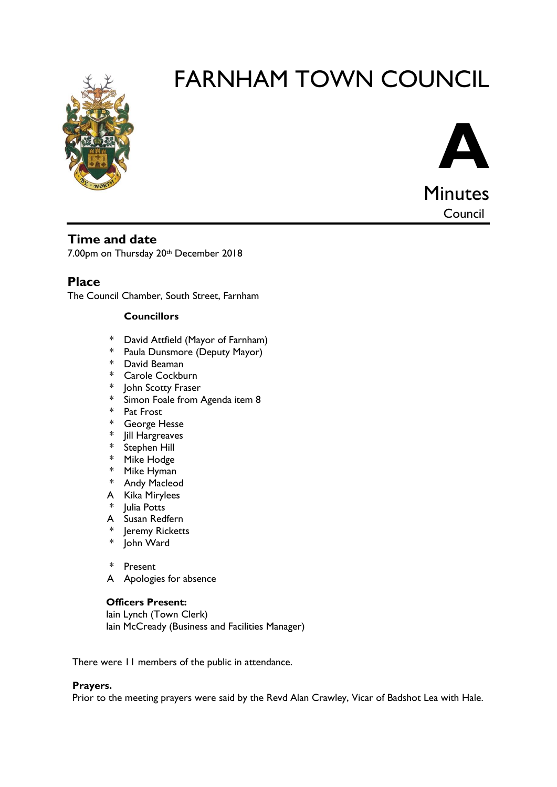



**Time and date**

7.00pm on Thursday 20th December 2018

**Place**

The Council Chamber, South Street, Farnham

#### **Councillors**

- \* David Attfield (Mayor of Farnham)
- \* Paula Dunsmore (Deputy Mayor)
- \* David Beaman
- \* Carole Cockburn
- \* John Scotty Fraser
- \* Simon Foale from Agenda item 8
- \* Pat Frost
- \* George Hesse
- \* Jill Hargreaves
- \* Stephen Hill
- \* Mike Hodge
- \* Mike Hyman
- \* Andy Macleod
- A Kika Mirylees
- \* Julia Potts
- A Susan Redfern
- \* Jeremy Ricketts
- \* John Ward
- \* Present
- A Apologies for absence

#### **Officers Present:**

Iain Lynch (Town Clerk) Iain McCready (Business and Facilities Manager)

There were 11 members of the public in attendance.

#### **Prayers.**

Prior to the meeting prayers were said by the Revd Alan Crawley, Vicar of Badshot Lea with Hale.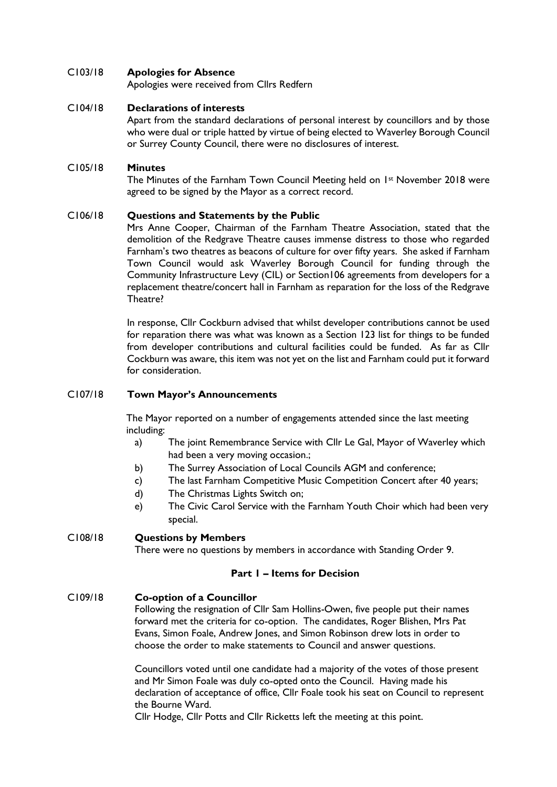#### C103/18 **Apologies for Absence**

Apologies were received from Cllrs Redfern

#### C104/18 **Declarations of interests**

Apart from the standard declarations of personal interest by councillors and by those who were dual or triple hatted by virtue of being elected to Waverley Borough Council or Surrey County Council, there were no disclosures of interest.

#### C105/18 **Minutes**

The Minutes of the Farnham Town Council Meeting held on 1st November 2018 were agreed to be signed by the Mayor as a correct record.

#### C106/18 **Questions and Statements by the Public**

Mrs Anne Cooper, Chairman of the Farnham Theatre Association, stated that the demolition of the Redgrave Theatre causes immense distress to those who regarded Farnham's two theatres as beacons of culture for over fifty years. She asked if Farnham Town Council would ask Waverley Borough Council for funding through the Community Infrastructure Levy (CIL) or Section106 agreements from developers for a replacement theatre/concert hall in Farnham as reparation for the loss of the Redgrave Theatre?

In response, Cllr Cockburn advised that whilst developer contributions cannot be used for reparation there was what was known as a Section 123 list for things to be funded from developer contributions and cultural facilities could be funded. As far as Cllr Cockburn was aware, this item was not yet on the list and Farnham could put it forward for consideration.

#### C107/18 **Town Mayor's Announcements**

The Mayor reported on a number of engagements attended since the last meeting including:

- a) The joint Remembrance Service with Cllr Le Gal, Mayor of Waverley which had been a very moving occasion.;
- b) The Surrey Association of Local Councils AGM and conference;
- c) The last Farnham Competitive Music Competition Concert after 40 years;
- d) The Christmas Lights Switch on;
- e) The Civic Carol Service with the Farnham Youth Choir which had been very special.

#### C108/18 **Questions by Members**

There were no questions by members in accordance with Standing Order 9.

#### **Part 1 – Items for Decision**

#### C109/18 **Co-option of a Councillor**

Following the resignation of Cllr Sam Hollins-Owen, five people put their names forward met the criteria for co-option. The candidates, Roger Blishen, Mrs Pat Evans, Simon Foale, Andrew Jones, and Simon Robinson drew lots in order to choose the order to make statements to Council and answer questions.

Councillors voted until one candidate had a majority of the votes of those present and Mr Simon Foale was duly co-opted onto the Council. Having made his declaration of acceptance of office, Cllr Foale took his seat on Council to represent the Bourne Ward.

Cllr Hodge, Cllr Potts and Cllr Ricketts left the meeting at this point.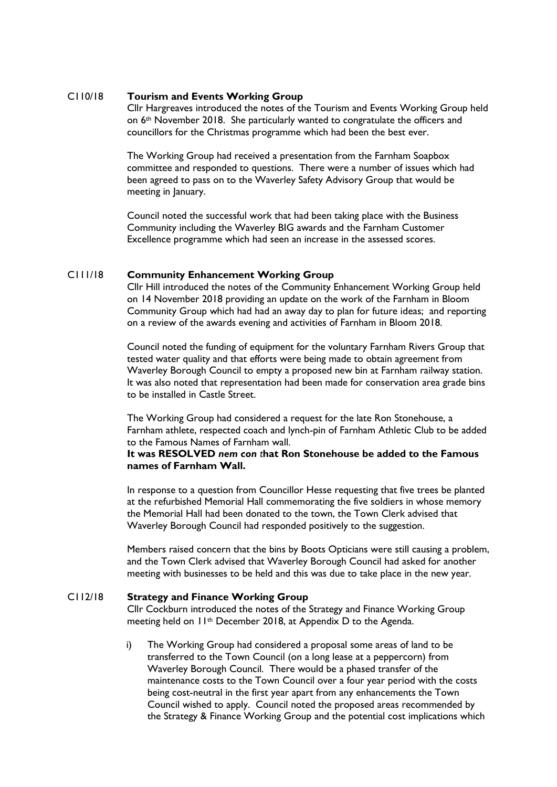#### C110/18 **Tourism and Events Working Group**

Cllr Hargreaves introduced the notes of the Tourism and Events Working Group held on 6th November 2018. She particularly wanted to congratulate the officers and councillors for the Christmas programme which had been the best ever.

The Working Group had received a presentation from the Farnham Soapbox committee and responded to questions. There were a number of issues which had been agreed to pass on to the Waverley Safety Advisory Group that would be meeting in January.

Council noted the successful work that had been taking place with the Business Community including the Waverley BIG awards and the Farnham Customer Excellence programme which had seen an increase in the assessed scores.

#### C111/18 **Community Enhancement Working Group**

Cllr Hill introduced the notes of the Community Enhancement Working Group held on 14 November 2018 providing an update on the work of the Farnham in Bloom Community Group which had had an away day to plan for future ideas; and reporting on a review of the awards evening and activities of Farnham in Bloom 2018.

Council noted the funding of equipment for the voluntary Farnham Rivers Group that tested water quality and that efforts were being made to obtain agreement from Waverley Borough Council to empty a proposed new bin at Farnham railway station. It was also noted that representation had been made for conservation area grade bins to be installed in Castle Street.

The Working Group had considered a request for the late Ron Stonehouse, a Farnham athlete, respected coach and lynch-pin of Farnham Athletic Club to be added to the Famous Names of Farnham wall.

#### **It was RESOLVED** *nem con t***hat Ron Stonehouse be added to the Famous names of Farnham Wall.**

In response to a question from Councillor Hesse requesting that five trees be planted at the refurbished Memorial Hall commemorating the five soldiers in whose memory the Memorial Hall had been donated to the town, the Town Clerk advised that Waverley Borough Council had responded positively to the suggestion.

Members raised concern that the bins by Boots Opticians were still causing a problem, and the Town Clerk advised that Waverley Borough Council had asked for another meeting with businesses to be held and this was due to take place in the new year.

#### C112/18 **Strategy and Finance Working Group**

Cllr Cockburn introduced the notes of the Strategy and Finance Working Group meeting held on 11th December 2018, at Appendix D to the Agenda.

i) The Working Group had considered a proposal some areas of land to be transferred to the Town Council (on a long lease at a peppercorn) from Waverley Borough Council. There would be a phased transfer of the maintenance costs to the Town Council over a four year period with the costs being cost-neutral in the first year apart from any enhancements the Town Council wished to apply. Council noted the proposed areas recommended by the Strategy & Finance Working Group and the potential cost implications which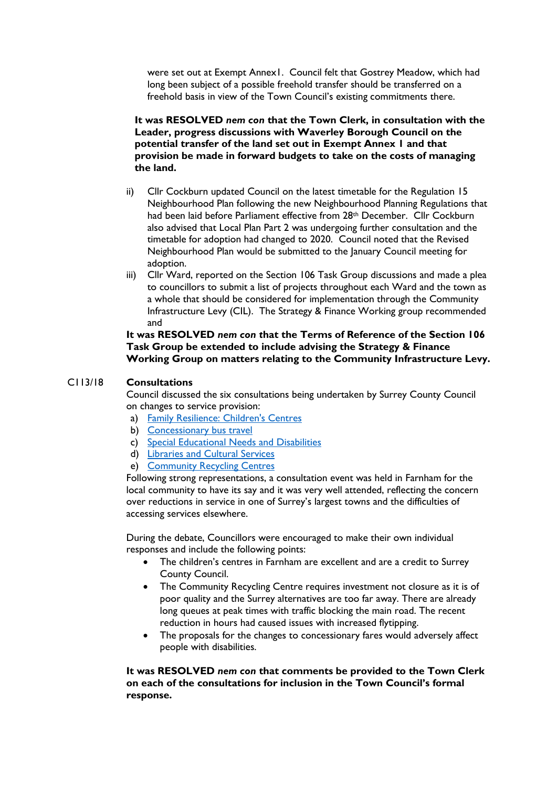were set out at Exempt Annex1. Council felt that Gostrey Meadow, which had long been subject of a possible freehold transfer should be transferred on a freehold basis in view of the Town Council's existing commitments there.

**It was RESOLVED** *nem con* **that the Town Clerk, in consultation with the Leader, progress discussions with Waverley Borough Council on the potential transfer of the land set out in Exempt Annex 1 and that provision be made in forward budgets to take on the costs of managing the land.**

- ii) Cllr Cockburn updated Council on the latest timetable for the Regulation 15 Neighbourhood Plan following the new Neighbourhood Planning Regulations that had been laid before Parliament effective from 28<sup>th</sup> December. Cllr Cockburn also advised that Local Plan Part 2 was undergoing further consultation and the timetable for adoption had changed to 2020. Council noted that the Revised Neighbourhood Plan would be submitted to the January Council meeting for adoption.
- iii) Cllr Ward, reported on the Section 106 Task Group discussions and made a plea to councillors to submit a list of projects throughout each Ward and the town as a whole that should be considered for implementation through the Community Infrastructure Levy (CIL). The Strategy & Finance Working group recommended and

**It was RESOLVED** *nem con t***hat the Terms of Reference of the Section 106 Task Group be extended to include advising the Strategy & Finance Working Group on matters relating to the Community Infrastructure Levy.** 

#### C113/18 **Consultations**

Council discussed the six consultations being undertaken by Surrey County Council on changes to service provision:

- a) [Family Resilience: Children's Centres](https://www.surreysays.co.uk/csf/family-resilience-childrens-centres/)
- b) [Concessionary bus travel](https://www.surreysays.co.uk/environment-and-infrastructure/concessionary-bus-travel)
- c) [Special Educational Needs and Disabilities](https://www.surreysays.co.uk/csf/send/)
- d) [Libraries and Cultural Services](https://www.surreysays.co.uk/legal-and-democratic-services/libraries/)
- e) [Community Recycling Centres](https://www.surreysays.co.uk/environment-and-infrastructure/crcs)

Following strong representations, a consultation event was held in Farnham for the local community to have its say and it was very well attended, reflecting the concern over reductions in service in one of Surrey's largest towns and the difficulties of accessing services elsewhere.

During the debate, Councillors were encouraged to make their own individual responses and include the following points:

- The children's centres in Farnham are excellent and are a credit to Surrey County Council.
- The Community Recycling Centre requires investment not closure as it is of poor quality and the Surrey alternatives are too far away. There are already long queues at peak times with traffic blocking the main road. The recent reduction in hours had caused issues with increased flytipping.
- The proposals for the changes to concessionary fares would adversely affect people with disabilities.

**It was RESOLVED** *nem con* **that comments be provided to the Town Clerk on each of the consultations for inclusion in the Town Council's formal response.**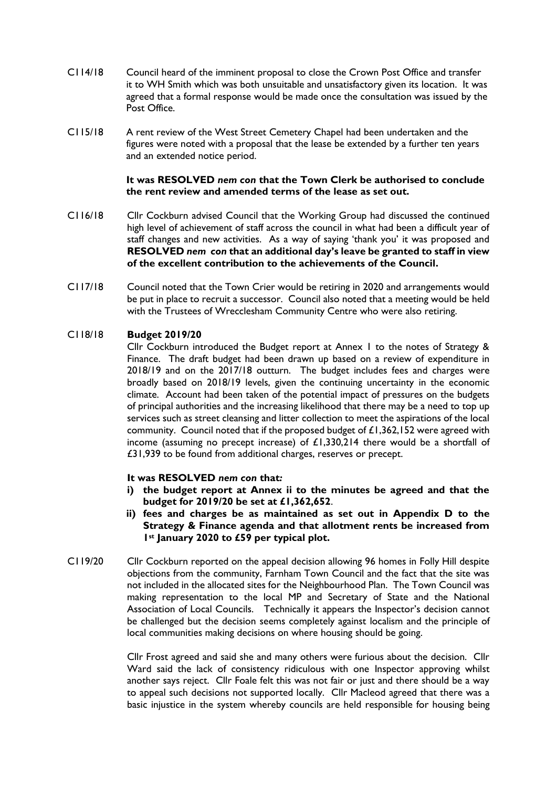- C114/18 Council heard of the imminent proposal to close the Crown Post Office and transfer it to WH Smith which was both unsuitable and unsatisfactory given its location. It was agreed that a formal response would be made once the consultation was issued by the Post Office.
- C115/18 A rent review of the West Street Cemetery Chapel had been undertaken and the figures were noted with a proposal that the lease be extended by a further ten years and an extended notice period.

#### **It was RESOLVED** *nem con* **that** *t***he Town Clerk be authorised to conclude the rent review and amended terms of the lease as set out.**

- C116/18 Cllr Cockburn advised Council that the Working Group had discussed the continued high level of achievement of staff across the council in what had been a difficult year of staff changes and new activities. As a way of saying 'thank you' it was proposed and **RESOLVED** *nem con* **that an additional day's leave be granted to staff in view of the excellent contribution to the achievements of the Council.**
- C117/18 Council noted that the Town Crier would be retiring in 2020 and arrangements would be put in place to recruit a successor. Council also noted that a meeting would be held with the Trustees of Wrecclesham Community Centre who were also retiring.

#### C118/18 **Budget 2019/20**

Cllr Cockburn introduced the Budget report at Annex 1 to the notes of Strategy & Finance. The draft budget had been drawn up based on a review of expenditure in 2018/19 and on the 2017/18 outturn. The budget includes fees and charges were broadly based on 2018/19 levels, given the continuing uncertainty in the economic climate. Account had been taken of the potential impact of pressures on the budgets of principal authorities and the increasing likelihood that there may be a need to top up services such as street cleansing and litter collection to meet the aspirations of the local community. Council noted that if the proposed budget of £1,362,152 were agreed with income (assuming no precept increase) of £1,330,214 there would be a shortfall of £31,939 to be found from additional charges, reserves or precept.

#### **It was RESOLVED** *nem con* **that***:*

- **i) the budget report at Annex ii to the minutes be agreed and that the budget for 2019/20 be set at £1,362,652**.
- **ii) fees and charges be as maintained as set out in Appendix D to the Strategy & Finance agenda and that allotment rents be increased from 1st January 2020 to £59 per typical plot.**
- C119/20 Cllr Cockburn reported on the appeal decision allowing 96 homes in Folly Hill despite objections from the community, Farnham Town Council and the fact that the site was not included in the allocated sites for the Neighbourhood Plan. The Town Council was making representation to the local MP and Secretary of State and the National Association of Local Councils. Technically it appears the Inspector's decision cannot be challenged but the decision seems completely against localism and the principle of local communities making decisions on where housing should be going.

Cllr Frost agreed and said she and many others were furious about the decision. Cllr Ward said the lack of consistency ridiculous with one Inspector approving whilst another says reject. Cllr Foale felt this was not fair or just and there should be a way to appeal such decisions not supported locally. Cllr Macleod agreed that there was a basic injustice in the system whereby councils are held responsible for housing being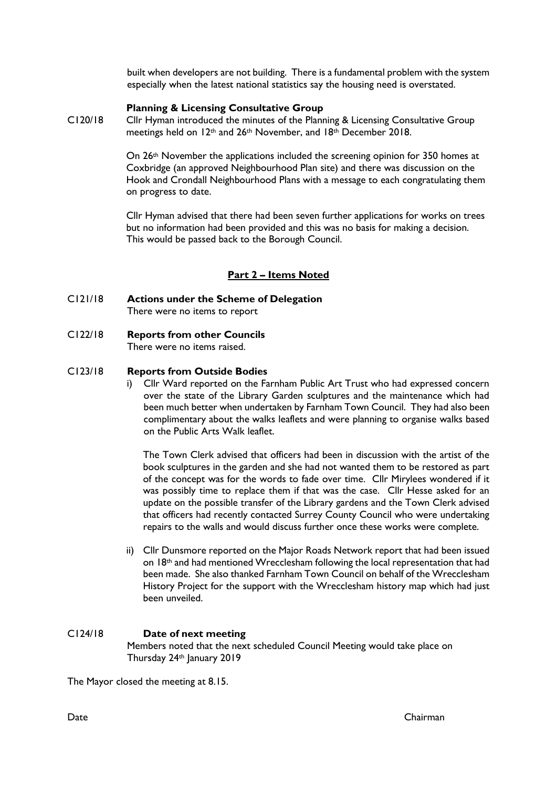built when developers are not building. There is a fundamental problem with the system especially when the latest national statistics say the housing need is overstated.

#### **Planning & Licensing Consultative Group**

C120/18 Cllr Hyman introduced the minutes of the Planning & Licensing Consultative Group meetings held on 12th and 26th November, and 18th December 2018.

> On 26th November the applications included the screening opinion for 350 homes at Coxbridge (an approved Neighbourhood Plan site) and there was discussion on the Hook and Crondall Neighbourhood Plans with a message to each congratulating them on progress to date.

> Cllr Hyman advised that there had been seven further applications for works on trees but no information had been provided and this was no basis for making a decision. This would be passed back to the Borough Council.

#### **Part 2 – Items Noted**

- C121/18 **Actions under the Scheme of Delegation** There were no items to report
- C122/18 **Reports from other Councils** There were no items raised.

#### C123/18 **Reports from Outside Bodies**

i) Cllr Ward reported on the Farnham Public Art Trust who had expressed concern over the state of the Library Garden sculptures and the maintenance which had been much better when undertaken by Farnham Town Council. They had also been complimentary about the walks leaflets and were planning to organise walks based on the Public Arts Walk leaflet.

The Town Clerk advised that officers had been in discussion with the artist of the book sculptures in the garden and she had not wanted them to be restored as part of the concept was for the words to fade over time. Cllr Mirylees wondered if it was possibly time to replace them if that was the case. Cllr Hesse asked for an update on the possible transfer of the Library gardens and the Town Clerk advised that officers had recently contacted Surrey County Council who were undertaking repairs to the walls and would discuss further once these works were complete.

ii) Cllr Dunsmore reported on the Major Roads Network report that had been issued on 18<sup>th</sup> and had mentioned Wrecclesham following the local representation that had been made. She also thanked Farnham Town Council on behalf of the Wrecclesham History Project for the support with the Wrecclesham history map which had just been unveiled.

#### C124/18 **Date of next meeting** Members noted that the next scheduled Council Meeting would take place on Thursday 24th January 2019

The Mayor closed the meeting at 8.15.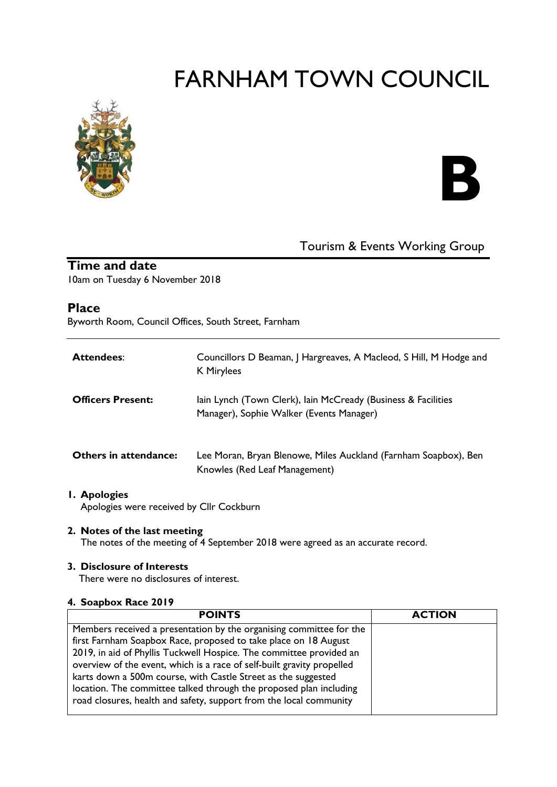

# **B**

# Tourism & Events Working Group

# **Time and date**

10am on Tuesday 6 November 2018

## **Place**

Byworth Room, Council Offices, South Street, Farnham

| <b>Attendees:</b>            | Councillors D Beaman, J Hargreaves, A Macleod, S Hill, M Hodge and<br>K Mirylees                          |
|------------------------------|-----------------------------------------------------------------------------------------------------------|
| <b>Officers Present:</b>     | lain Lynch (Town Clerk), lain McCready (Business & Facilities<br>Manager), Sophie Walker (Events Manager) |
| <b>Others in attendance:</b> | Lee Moran, Bryan Blenowe, Miles Auckland (Farnham Soapbox), Ben<br>Knowles (Red Leaf Management)          |

#### **1. Apologies** Apologies were received by Cllr Cockburn

#### **2. Notes of the last meeting**

The notes of the meeting of 4 September 2018 were agreed as an accurate record.

#### **3. Disclosure of Interests**

There were no disclosures of interest.

#### **4. Soapbox Race 2019**

| <b>POINTS</b>                                                                                                                                                                                                                                                                                                                                                                                                                  | <b>ACTION</b> |
|--------------------------------------------------------------------------------------------------------------------------------------------------------------------------------------------------------------------------------------------------------------------------------------------------------------------------------------------------------------------------------------------------------------------------------|---------------|
| Members received a presentation by the organising committee for the<br>first Farnham Soapbox Race, proposed to take place on 18 August<br>2019, in aid of Phyllis Tuckwell Hospice. The committee provided an<br>overview of the event, which is a race of self-built gravity propelled<br>karts down a 500m course, with Castle Street as the suggested<br>location. The committee talked through the proposed plan including |               |
| road closures, health and safety, support from the local community                                                                                                                                                                                                                                                                                                                                                             |               |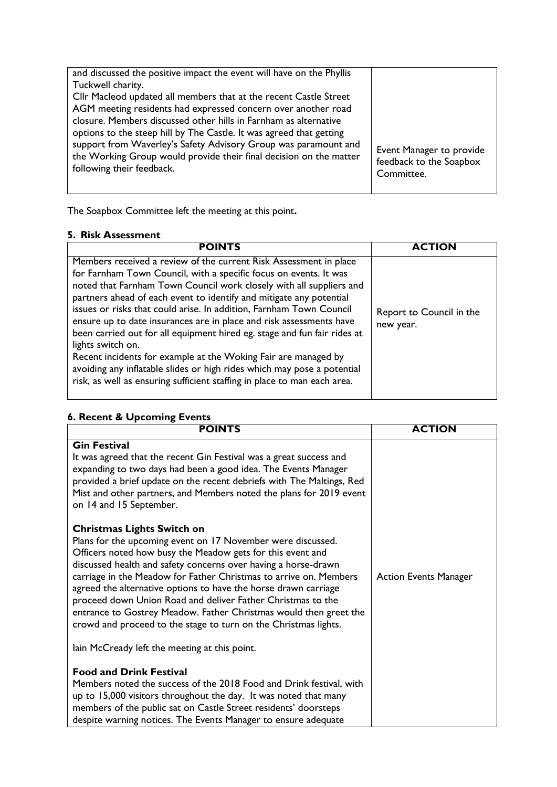| and discussed the positive impact the event will have on the Phyllis<br>Tuckwell charity.<br>Cllr Macleod updated all members that at the recent Castle Street<br>AGM meeting residents had expressed concern over another road<br>closure. Members discussed other hills in Farnham as alternative<br>options to the steep hill by The Castle. It was agreed that getting<br>support from Waverley's Safety Advisory Group was paramount and<br>the Working Group would provide their final decision on the matter<br>following their feedback. | Event Manager to provide<br>feedback to the Soapbox<br>Committee. |
|--------------------------------------------------------------------------------------------------------------------------------------------------------------------------------------------------------------------------------------------------------------------------------------------------------------------------------------------------------------------------------------------------------------------------------------------------------------------------------------------------------------------------------------------------|-------------------------------------------------------------------|
|--------------------------------------------------------------------------------------------------------------------------------------------------------------------------------------------------------------------------------------------------------------------------------------------------------------------------------------------------------------------------------------------------------------------------------------------------------------------------------------------------------------------------------------------------|-------------------------------------------------------------------|

The Soapbox Committee left the meeting at this point**.** 

#### **5. Risk Assessment**

| <b>POINTS</b>                                                                                                                                                                                                                                                                                                                                                                                                                                                                                                                                                                                                                                                                                                                                                | <b>ACTION</b>                         |
|--------------------------------------------------------------------------------------------------------------------------------------------------------------------------------------------------------------------------------------------------------------------------------------------------------------------------------------------------------------------------------------------------------------------------------------------------------------------------------------------------------------------------------------------------------------------------------------------------------------------------------------------------------------------------------------------------------------------------------------------------------------|---------------------------------------|
| Members received a review of the current Risk Assessment in place<br>for Farnham Town Council, with a specific focus on events. It was<br>noted that Farnham Town Council work closely with all suppliers and<br>partners ahead of each event to identify and mitigate any potential<br>issues or risks that could arise. In addition, Farnham Town Council<br>ensure up to date insurances are in place and risk assessments have<br>been carried out for all equipment hired eg. stage and fun fair rides at<br>lights switch on.<br>Recent incidents for example at the Woking Fair are managed by<br>avoiding any inflatable slides or high rides which may pose a potential<br>risk, as well as ensuring sufficient staffing in place to man each area. | Report to Council in the<br>new year. |

# **6. Recent & Upcoming Events**

| <b>POINTS</b>                                                                                                                                                                                                                                                                                                                                                                                                                                                                                                                                                                   | <b>ACTION</b>                |
|---------------------------------------------------------------------------------------------------------------------------------------------------------------------------------------------------------------------------------------------------------------------------------------------------------------------------------------------------------------------------------------------------------------------------------------------------------------------------------------------------------------------------------------------------------------------------------|------------------------------|
| <b>Gin Festival</b><br>It was agreed that the recent Gin Festival was a great success and<br>expanding to two days had been a good idea. The Events Manager<br>provided a brief update on the recent debriefs with The Maltings, Red<br>Mist and other partners, and Members noted the plans for 2019 event<br>on 14 and 15 September.                                                                                                                                                                                                                                          |                              |
| <b>Christmas Lights Switch on</b><br>Plans for the upcoming event on 17 November were discussed.<br>Officers noted how busy the Meadow gets for this event and<br>discussed health and safety concerns over having a horse-drawn<br>carriage in the Meadow for Father Christmas to arrive on. Members<br>agreed the alternative options to have the horse drawn carriage<br>proceed down Union Road and deliver Father Christmas to the<br>entrance to Gostrey Meadow. Father Christmas would then greet the<br>crowd and proceed to the stage to turn on the Christmas lights. | <b>Action Events Manager</b> |
| lain McCready left the meeting at this point.                                                                                                                                                                                                                                                                                                                                                                                                                                                                                                                                   |                              |
| <b>Food and Drink Festival</b><br>Members noted the success of the 2018 Food and Drink festival, with<br>up to 15,000 visitors throughout the day. It was noted that many<br>members of the public sat on Castle Street residents' doorsteps<br>despite warning notices. The Events Manager to ensure adequate                                                                                                                                                                                                                                                                  |                              |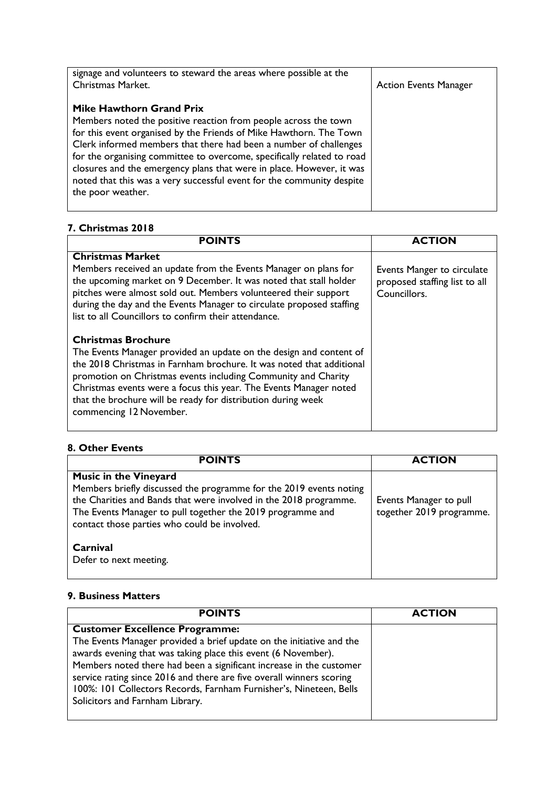| signage and volunteers to steward the areas where possible at the<br>Christmas Market.                                                                                                                                                                                                                                  | <b>Action Events Manager</b> |
|-------------------------------------------------------------------------------------------------------------------------------------------------------------------------------------------------------------------------------------------------------------------------------------------------------------------------|------------------------------|
| <b>Mike Hawthorn Grand Prix</b><br>Members noted the positive reaction from people across the town<br>for this event organised by the Friends of Mike Hawthorn. The Town<br>Clerk informed members that there had been a number of challenges<br>for the organising committee to overcome, specifically related to road |                              |
| closures and the emergency plans that were in place. However, it was<br>noted that this was a very successful event for the community despite<br>the poor weather.                                                                                                                                                      |                              |

## **7. Christmas 2018**

| <b>POINTS</b>                                                                                                                                                                                                                                                                                                                                                                                            | <b>ACTION</b>                                                               |
|----------------------------------------------------------------------------------------------------------------------------------------------------------------------------------------------------------------------------------------------------------------------------------------------------------------------------------------------------------------------------------------------------------|-----------------------------------------------------------------------------|
| <b>Christmas Market</b><br>Members received an update from the Events Manager on plans for<br>the upcoming market on 9 December. It was noted that stall holder<br>pitches were almost sold out. Members volunteered their support<br>during the day and the Events Manager to circulate proposed staffing<br>list to all Councillors to confirm their attendance.                                       | Events Manger to circulate<br>proposed staffing list to all<br>Councillors. |
| <b>Christmas Brochure</b><br>The Events Manager provided an update on the design and content of<br>the 2018 Christmas in Farnham brochure. It was noted that additional<br>promotion on Christmas events including Community and Charity<br>Christmas events were a focus this year. The Events Manager noted<br>that the brochure will be ready for distribution during week<br>commencing 12 November. |                                                                             |

## **8. Other Events**

| <b>POINTS</b>                                                                                                                                                                                                                                                                         | <b>ACTION</b>                                      |
|---------------------------------------------------------------------------------------------------------------------------------------------------------------------------------------------------------------------------------------------------------------------------------------|----------------------------------------------------|
| <b>Music in the Vineyard</b><br>Members briefly discussed the programme for the 2019 events noting<br>the Charities and Bands that were involved in the 2018 programme.<br>The Events Manager to pull together the 2019 programme and<br>contact those parties who could be involved. | Events Manager to pull<br>together 2019 programme. |
| Carnival<br>Defer to next meeting.                                                                                                                                                                                                                                                    |                                                    |

## **9. Business Matters**

| <b>POINTS</b>                                                                                                                                                                                                                                                                                                                                                                                                                          | <b>ACTION</b> |
|----------------------------------------------------------------------------------------------------------------------------------------------------------------------------------------------------------------------------------------------------------------------------------------------------------------------------------------------------------------------------------------------------------------------------------------|---------------|
| <b>Customer Excellence Programme:</b><br>The Events Manager provided a brief update on the initiative and the<br>awards evening that was taking place this event (6 November).<br>Members noted there had been a significant increase in the customer<br>service rating since 2016 and there are five overall winners scoring<br>100%: 101 Collectors Records, Farnham Furnisher's, Nineteen, Bells<br>Solicitors and Farnham Library. |               |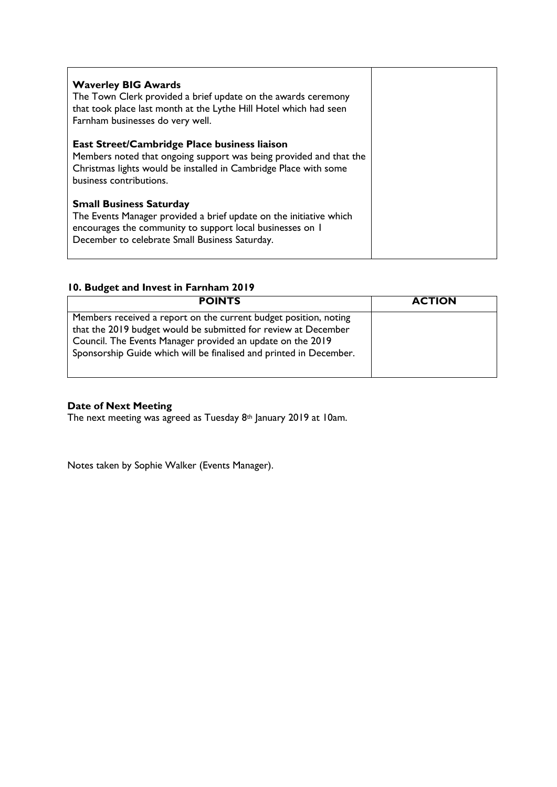| <b>Waverley BIG Awards</b><br>The Town Clerk provided a brief update on the awards ceremony<br>that took place last month at the Lythe Hill Hotel which had seen<br>Farnham businesses do very well.                |  |
|---------------------------------------------------------------------------------------------------------------------------------------------------------------------------------------------------------------------|--|
| East Street/Cambridge Place business liaison<br>Members noted that ongoing support was being provided and that the<br>Christmas lights would be installed in Cambridge Place with some<br>business contributions.   |  |
| <b>Small Business Saturday</b><br>The Events Manager provided a brief update on the initiative which<br>encourages the community to support local businesses on I<br>December to celebrate Small Business Saturday. |  |

# **10. Budget and Invest in Farnham 2019**

| <b>POINTS</b>                                                                                                                                                                                                                                                          | <b>ACTION</b> |
|------------------------------------------------------------------------------------------------------------------------------------------------------------------------------------------------------------------------------------------------------------------------|---------------|
| Members received a report on the current budget position, noting<br>that the 2019 budget would be submitted for review at December<br>Council. The Events Manager provided an update on the 2019<br>Sponsorship Guide which will be finalised and printed in December. |               |

# **Date of Next Meeting**

The next meeting was agreed as Tuesday 8th January 2019 at 10am.

Notes taken by Sophie Walker (Events Manager).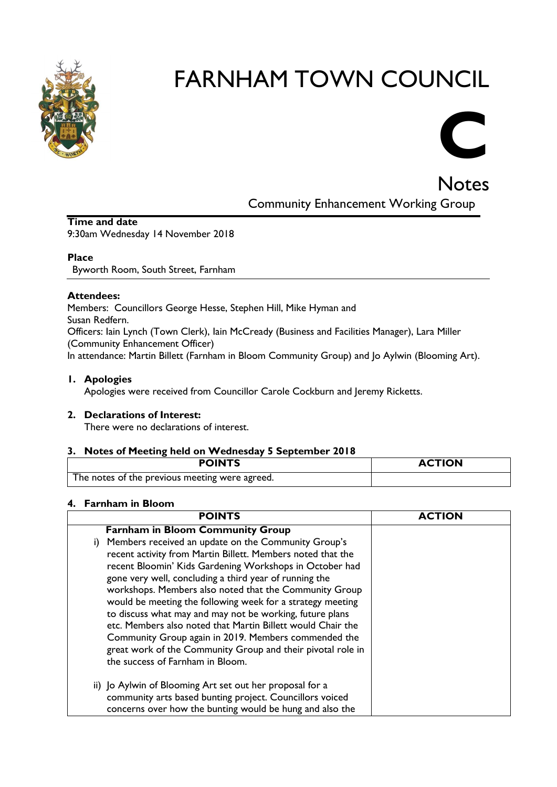

# **C**

**Notes** Community Enhancement Working Group

#### **Time and date** 9:30am Wednesday 14 November 2018

#### **Place**

Byworth Room, South Street, Farnham

#### **Attendees:**

Members: Councillors George Hesse, Stephen Hill, Mike Hyman and Susan Redfern. Officers: Iain Lynch (Town Clerk), Iain McCready (Business and Facilities Manager), Lara Miller (Community Enhancement Officer) In attendance: Martin Billett (Farnham in Bloom Community Group) and Jo Aylwin (Blooming Art).

#### **1. Apologies**

Apologies were received from Councillor Carole Cockburn and Jeremy Ricketts.

#### **2. Declarations of Interest:**

There were no declarations of interest.

#### **3. Notes of Meeting held on Wednesday 5 September 2018**

| <b>POINTS</b>                                  | <b>ACTION</b> |
|------------------------------------------------|---------------|
| The notes of the previous meeting were agreed. |               |

#### **4. Farnham in Bloom**

| <b>POINTS</b>                                                                                                                                                                                                                                                                                                                                                                                                                                                                                                                                                                                                                                            | <b>ACTION</b> |
|----------------------------------------------------------------------------------------------------------------------------------------------------------------------------------------------------------------------------------------------------------------------------------------------------------------------------------------------------------------------------------------------------------------------------------------------------------------------------------------------------------------------------------------------------------------------------------------------------------------------------------------------------------|---------------|
| <b>Farnham in Bloom Community Group</b>                                                                                                                                                                                                                                                                                                                                                                                                                                                                                                                                                                                                                  |               |
| i) Members received an update on the Community Group's<br>recent activity from Martin Billett. Members noted that the<br>recent Bloomin' Kids Gardening Workshops in October had<br>gone very well, concluding a third year of running the<br>workshops. Members also noted that the Community Group<br>would be meeting the following week for a strategy meeting<br>to discuss what may and may not be working, future plans<br>etc. Members also noted that Martin Billett would Chair the<br>Community Group again in 2019. Members commended the<br>great work of the Community Group and their pivotal role in<br>the success of Farnham in Bloom. |               |
| ii) Jo Aylwin of Blooming Art set out her proposal for a<br>community arts based bunting project. Councillors voiced<br>concerns over how the bunting would be hung and also the                                                                                                                                                                                                                                                                                                                                                                                                                                                                         |               |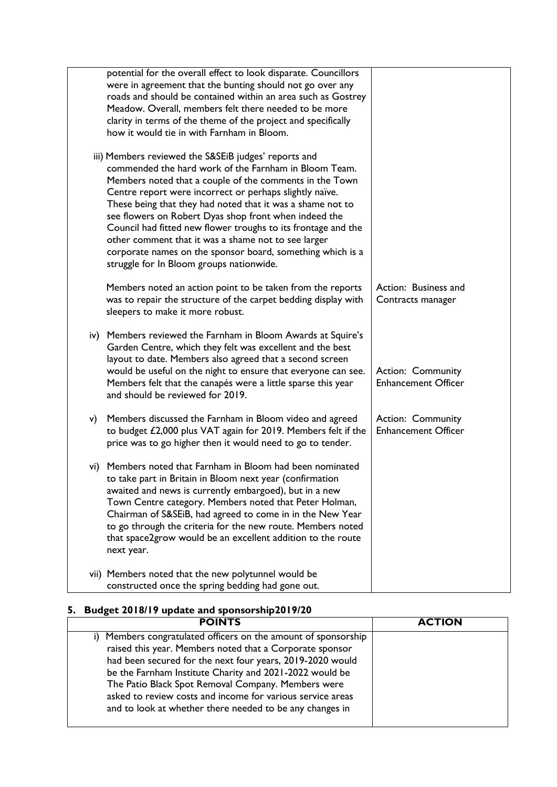|    | potential for the overall effect to look disparate. Councillors<br>were in agreement that the bunting should not go over any<br>roads and should be contained within an area such as Gostrey<br>Meadow. Overall, members felt there needed to be more<br>clarity in terms of the theme of the project and specifically<br>how it would tie in with Farnham in Bloom.                                                                                                                                                                                                                         |                                                        |
|----|----------------------------------------------------------------------------------------------------------------------------------------------------------------------------------------------------------------------------------------------------------------------------------------------------------------------------------------------------------------------------------------------------------------------------------------------------------------------------------------------------------------------------------------------------------------------------------------------|--------------------------------------------------------|
|    | iii) Members reviewed the S&SEiB judges' reports and<br>commended the hard work of the Farnham in Bloom Team.<br>Members noted that a couple of the comments in the Town<br>Centre report were incorrect or perhaps slightly naïve.<br>These being that they had noted that it was a shame not to<br>see flowers on Robert Dyas shop front when indeed the<br>Council had fitted new flower troughs to its frontage and the<br>other comment that it was a shame not to see larger<br>corporate names on the sponsor board, something which is a<br>struggle for In Bloom groups nationwide. |                                                        |
|    | Members noted an action point to be taken from the reports<br>was to repair the structure of the carpet bedding display with<br>sleepers to make it more robust.                                                                                                                                                                                                                                                                                                                                                                                                                             | Action: Business and<br>Contracts manager              |
|    | iv) Members reviewed the Farnham in Bloom Awards at Squire's<br>Garden Centre, which they felt was excellent and the best<br>layout to date. Members also agreed that a second screen<br>would be useful on the night to ensure that everyone can see.<br>Members felt that the canapés were a little sparse this year<br>and should be reviewed for 2019.                                                                                                                                                                                                                                   | <b>Action: Community</b><br><b>Enhancement Officer</b> |
| V) | Members discussed the Farnham in Bloom video and agreed<br>to budget £2,000 plus VAT again for 2019. Members felt if the<br>price was to go higher then it would need to go to tender.                                                                                                                                                                                                                                                                                                                                                                                                       | <b>Action: Community</b><br><b>Enhancement Officer</b> |
|    | vi) Members noted that Farnham in Bloom had been nominated<br>to take part in Britain in Bloom next year (confirmation<br>awaited and news is currently embargoed), but in a new<br>Town Centre category. Members noted that Peter Holman,<br>Chairman of S&SEiB, had agreed to come in in the New Year<br>to go through the criteria for the new route. Members noted<br>that space2grow would be an excellent addition to the route<br>next year.                                                                                                                                          |                                                        |
|    | vii) Members noted that the new polytunnel would be<br>constructed once the spring bedding had gone out.                                                                                                                                                                                                                                                                                                                                                                                                                                                                                     |                                                        |

# **5. Budget 2018/19 update and sponsorship2019/20**

| <b>POINTS</b>                                                                                                                                                                                                                                                                                                                                                                                                                      | <b>ACTION</b> |
|------------------------------------------------------------------------------------------------------------------------------------------------------------------------------------------------------------------------------------------------------------------------------------------------------------------------------------------------------------------------------------------------------------------------------------|---------------|
| i) Members congratulated officers on the amount of sponsorship<br>raised this year. Members noted that a Corporate sponsor<br>had been secured for the next four years, 2019-2020 would<br>be the Farnham Institute Charity and 2021-2022 would be<br>The Patio Black Spot Removal Company. Members were<br>asked to review costs and income for various service areas<br>and to look at whether there needed to be any changes in |               |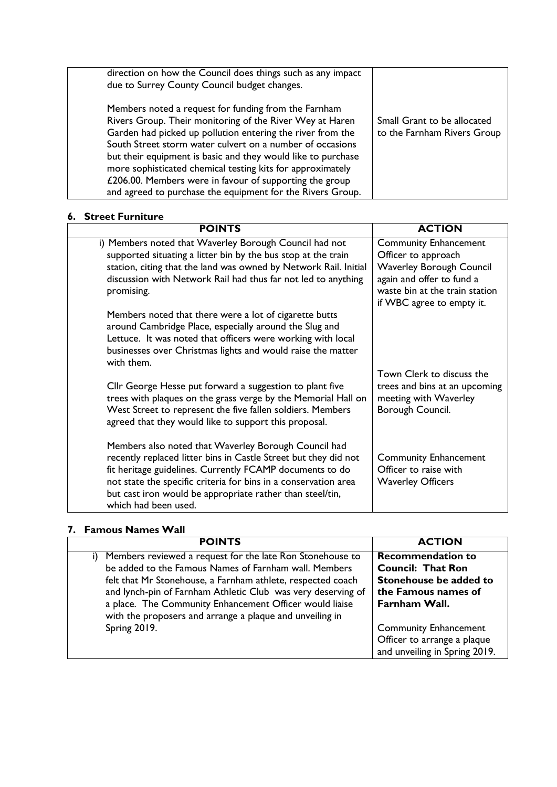| direction on how the Council does things such as any impact<br>due to Surrey County Council budget changes.                                                                                                                                                                                                                                                                                                                                                                                        |                                                            |
|----------------------------------------------------------------------------------------------------------------------------------------------------------------------------------------------------------------------------------------------------------------------------------------------------------------------------------------------------------------------------------------------------------------------------------------------------------------------------------------------------|------------------------------------------------------------|
| Members noted a request for funding from the Farnham<br>Rivers Group. Their monitoring of the River Wey at Haren<br>Garden had picked up pollution entering the river from the<br>South Street storm water culvert on a number of occasions<br>but their equipment is basic and they would like to purchase<br>more sophisticated chemical testing kits for approximately<br>£206.00. Members were in favour of supporting the group<br>and agreed to purchase the equipment for the Rivers Group. | Small Grant to be allocated<br>to the Farnham Rivers Group |

## **6. Street Furniture**

| <b>POINTS</b>                                                                                                                                                                                                                                                                                                                               | <b>ACTION</b>                                                                                                                                                                      |
|---------------------------------------------------------------------------------------------------------------------------------------------------------------------------------------------------------------------------------------------------------------------------------------------------------------------------------------------|------------------------------------------------------------------------------------------------------------------------------------------------------------------------------------|
| i) Members noted that Waverley Borough Council had not<br>supported situating a litter bin by the bus stop at the train<br>station, citing that the land was owned by Network Rail. Initial<br>discussion with Network Rail had thus far not led to anything<br>promising.                                                                  | <b>Community Enhancement</b><br>Officer to approach<br><b>Waverley Borough Council</b><br>again and offer to fund a<br>waste bin at the train station<br>if WBC agree to empty it. |
| Members noted that there were a lot of cigarette butts<br>around Cambridge Place, especially around the Slug and<br>Lettuce. It was noted that officers were working with local<br>businesses over Christmas lights and would raise the matter<br>with them.                                                                                |                                                                                                                                                                                    |
| Cllr George Hesse put forward a suggestion to plant five<br>trees with plaques on the grass verge by the Memorial Hall on<br>West Street to represent the five fallen soldiers. Members<br>agreed that they would like to support this proposal.                                                                                            | Town Clerk to discuss the<br>trees and bins at an upcoming<br>meeting with Waverley<br>Borough Council.                                                                            |
| Members also noted that Waverley Borough Council had<br>recently replaced litter bins in Castle Street but they did not<br>fit heritage guidelines. Currently FCAMP documents to do<br>not state the specific criteria for bins in a conservation area<br>but cast iron would be appropriate rather than steel/tin,<br>which had been used. | <b>Community Enhancement</b><br>Officer to raise with<br><b>Waverley Officers</b>                                                                                                  |

# **7. Famous Names Wall**

| <b>POINTS</b>                                                                                                                                                                                                                                                                                                                                                            | <b>ACTION</b>                                                                                                          |
|--------------------------------------------------------------------------------------------------------------------------------------------------------------------------------------------------------------------------------------------------------------------------------------------------------------------------------------------------------------------------|------------------------------------------------------------------------------------------------------------------------|
| Members reviewed a request for the late Ron Stonehouse to<br>be added to the Famous Names of Farnham wall. Members<br>felt that Mr Stonehouse, a Farnham athlete, respected coach<br>and lynch-pin of Farnham Athletic Club was very deserving of<br>a place. The Community Enhancement Officer would liaise<br>with the proposers and arrange a plaque and unveiling in | <b>Recommendation to</b><br><b>Council: That Ron</b><br>Stonehouse be added to<br>the Famous names of<br>Farnham Wall. |
| Spring 2019.                                                                                                                                                                                                                                                                                                                                                             | <b>Community Enhancement</b><br>Officer to arrange a plaque<br>and unveiling in Spring 2019.                           |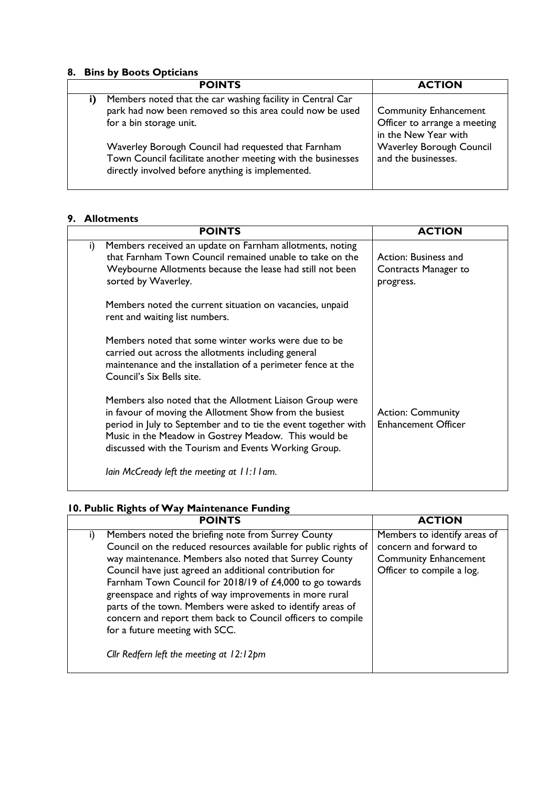#### **8. Bins by Boots Opticians**

|    | <b>POINTS</b>                                                                                                                                                           | <b>ACTION</b>                                                                        |
|----|-------------------------------------------------------------------------------------------------------------------------------------------------------------------------|--------------------------------------------------------------------------------------|
| i) | Members noted that the car washing facility in Central Car<br>park had now been removed so this area could now be used<br>for a bin storage unit.                       | <b>Community Enhancement</b><br>Officer to arrange a meeting<br>in the New Year with |
|    | Waverley Borough Council had requested that Farnham<br>Town Council facilitate another meeting with the businesses<br>directly involved before anything is implemented. | <b>Waverley Borough Council</b><br>and the businesses.                               |

# **9. Allotments**

|    | <b>POINTS</b>                                                                                                                                                                                                                                                                                         | <b>ACTION</b>                                             |
|----|-------------------------------------------------------------------------------------------------------------------------------------------------------------------------------------------------------------------------------------------------------------------------------------------------------|-----------------------------------------------------------|
| i) | Members received an update on Farnham allotments, noting<br>that Farnham Town Council remained unable to take on the<br>Weybourne Allotments because the lease had still not been<br>sorted by Waverley.                                                                                              | Action: Business and<br>Contracts Manager to<br>progress. |
|    | Members noted the current situation on vacancies, unpaid<br>rent and waiting list numbers.                                                                                                                                                                                                            |                                                           |
|    | Members noted that some winter works were due to be<br>carried out across the allotments including general<br>maintenance and the installation of a perimeter fence at the<br>Council's Six Bells site.                                                                                               |                                                           |
|    | Members also noted that the Allotment Liaison Group were<br>in favour of moving the Allotment Show from the busiest<br>period in July to September and to tie the event together with<br>Music in the Meadow in Gostrey Meadow. This would be<br>discussed with the Tourism and Events Working Group. | <b>Action: Community</b><br><b>Enhancement Officer</b>    |
|    | lain McCready left the meeting at $11:11$ am.                                                                                                                                                                                                                                                         |                                                           |

# **10. Public Rights of Way Maintenance Funding**

| <b>POINTS</b>                                                   | <b>ACTION</b>                |
|-----------------------------------------------------------------|------------------------------|
| Members noted the briefing note from Surrey County<br>i)        | Members to identify areas of |
| Council on the reduced resources available for public rights of | concern and forward to       |
| way maintenance. Members also noted that Surrey County          | <b>Community Enhancement</b> |
| Council have just agreed an additional contribution for         | Officer to compile a log.    |
| Farnham Town Council for 2018/19 of £4,000 to go towards        |                              |
| greenspace and rights of way improvements in more rural         |                              |
| parts of the town. Members were asked to identify areas of      |                              |
| concern and report them back to Council officers to compile     |                              |
| for a future meeting with SCC.                                  |                              |
| Cllr Redfern left the meeting at 12:12pm                        |                              |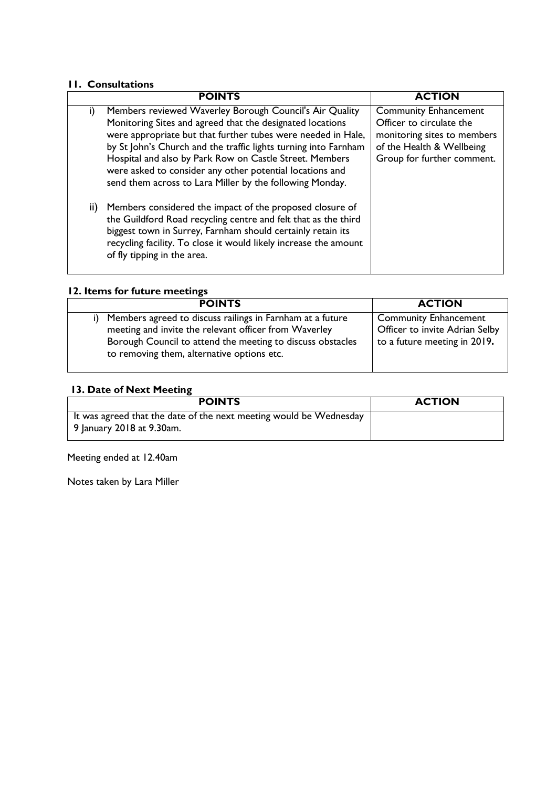# **11. Consultations**

|               | <b>POINTS</b>                                                                                                                                                                                                                                                                                                                                                                                                                              | <b>ACTION</b>                                                                                                                                      |
|---------------|--------------------------------------------------------------------------------------------------------------------------------------------------------------------------------------------------------------------------------------------------------------------------------------------------------------------------------------------------------------------------------------------------------------------------------------------|----------------------------------------------------------------------------------------------------------------------------------------------------|
| i)            | Members reviewed Waverley Borough Council's Air Quality<br>Monitoring Sites and agreed that the designated locations<br>were appropriate but that further tubes were needed in Hale,<br>by St John's Church and the traffic lights turning into Farnham<br>Hospital and also by Park Row on Castle Street. Members<br>were asked to consider any other potential locations and<br>send them across to Lara Miller by the following Monday. | <b>Community Enhancement</b><br>Officer to circulate the<br>monitoring sites to members<br>of the Health & Wellbeing<br>Group for further comment. |
| $\mathbf{ii}$ | Members considered the impact of the proposed closure of<br>the Guildford Road recycling centre and felt that as the third<br>biggest town in Surrey, Farnham should certainly retain its<br>recycling facility. To close it would likely increase the amount<br>of fly tipping in the area.                                                                                                                                               |                                                                                                                                                    |

### **12. Items for future meetings**

| <b>POINTS</b>                                                                                                                                                                                                                        | <b>ACTION</b>                                                                                  |
|--------------------------------------------------------------------------------------------------------------------------------------------------------------------------------------------------------------------------------------|------------------------------------------------------------------------------------------------|
| Members agreed to discuss railings in Farnham at a future<br>i)<br>meeting and invite the relevant officer from Waverley<br>Borough Council to attend the meeting to discuss obstacles<br>to removing them, alternative options etc. | <b>Community Enhancement</b><br>Officer to invite Adrian Selby<br>to a future meeting in 2019. |

# **13. Date of Next Meeting**

| <b>POINTS</b>                                                                                   | <b>ACTION</b> |
|-------------------------------------------------------------------------------------------------|---------------|
| It was agreed that the date of the next meeting would be Wednesday<br>9 January 2018 at 9.30am. |               |

Meeting ended at 12.40am

Notes taken by Lara Miller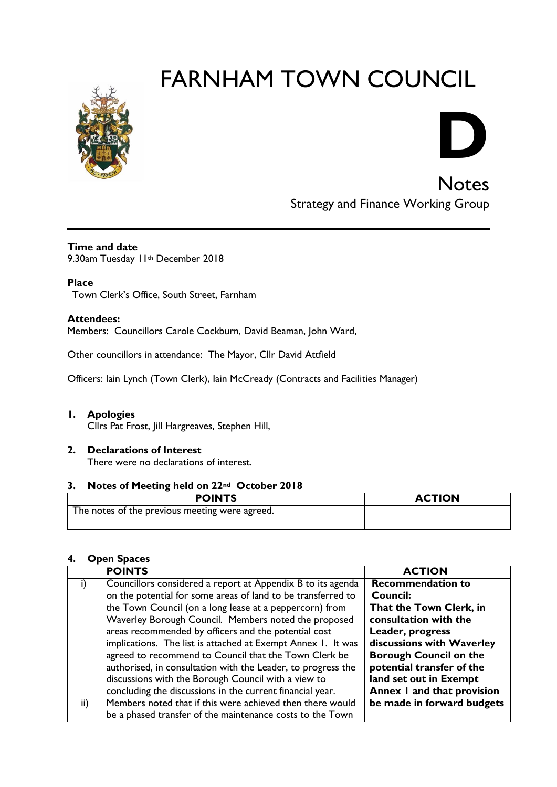

# **D**

**Notes** Strategy and Finance Working Group

#### **Time and date**

9.30am Tuesday 11th December 2018

## **Place**

Town Clerk's Office, South Street, Farnham

#### **Attendees:**

Members: Councillors Carole Cockburn, David Beaman, John Ward,

Other councillors in attendance: The Mayor, Cllr David Attfield

Officers: Iain Lynch (Town Clerk), Iain McCready (Contracts and Facilities Manager)

#### **1. Apologies**

Cllrs Pat Frost, Jill Hargreaves, Stephen Hill,

#### **2. Declarations of Interest**

There were no declarations of interest.

#### **3. Notes of Meeting held on 22nd October 2018**

| <b>POINTS</b>                                  | <b>ACTION</b> |
|------------------------------------------------|---------------|
| The notes of the previous meeting were agreed. |               |

# **4. Open Spaces**

|     | <b>POINTS</b>                                                | <b>ACTION</b>                 |
|-----|--------------------------------------------------------------|-------------------------------|
|     | Councillors considered a report at Appendix B to its agenda  | <b>Recommendation to</b>      |
|     | on the potential for some areas of land to be transferred to | <b>Council:</b>               |
|     | the Town Council (on a long lease at a peppercorn) from      | That the Town Clerk, in       |
|     | Waverley Borough Council. Members noted the proposed         | consultation with the         |
|     | areas recommended by officers and the potential cost         | Leader, progress              |
|     | implications. The list is attached at Exempt Annex 1. It was | discussions with Waverley     |
|     | agreed to recommend to Council that the Town Clerk be        | <b>Borough Council on the</b> |
|     | authorised, in consultation with the Leader, to progress the | potential transfer of the     |
|     | discussions with the Borough Council with a view to          | land set out in Exempt        |
|     | concluding the discussions in the current financial year.    | Annex I and that provision    |
| ii) | Members noted that if this were achieved then there would    | be made in forward budgets    |
|     | be a phased transfer of the maintenance costs to the Town    |                               |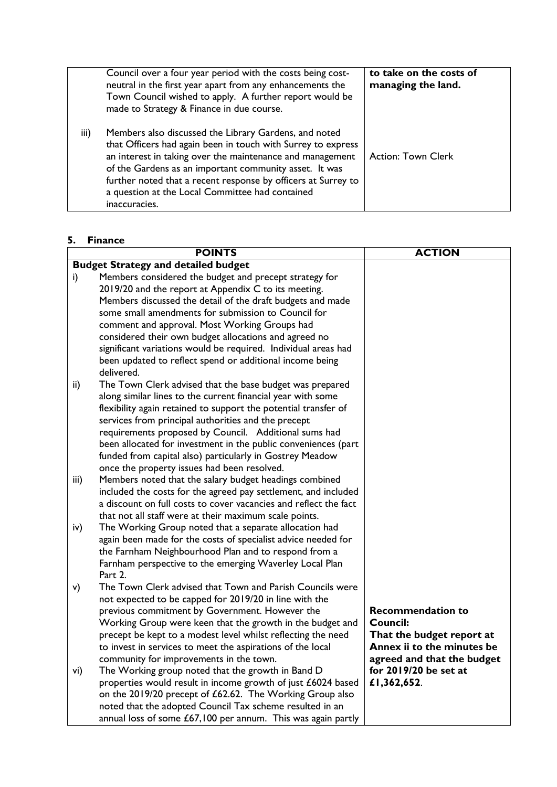|      | Council over a four year period with the costs being cost-<br>neutral in the first year apart from any enhancements the<br>Town Council wished to apply. A further report would be<br>made to Strategy & Finance in due course.                                                                                                                                                   | to take on the costs of<br>managing the land. |
|------|-----------------------------------------------------------------------------------------------------------------------------------------------------------------------------------------------------------------------------------------------------------------------------------------------------------------------------------------------------------------------------------|-----------------------------------------------|
| iii) | Members also discussed the Library Gardens, and noted<br>that Officers had again been in touch with Surrey to express<br>an interest in taking over the maintenance and management<br>of the Gardens as an important community asset. It was<br>further noted that a recent response by officers at Surrey to<br>a question at the Local Committee had contained<br>inaccuracies. | <b>Action: Town Clerk</b>                     |

#### **5. Finance**

| <b>Budget Strategy and detailed budget</b><br>Members considered the budget and precept strategy for<br>i)<br>2019/20 and the report at Appendix C to its meeting.<br>Members discussed the detail of the draft budgets and made<br>some small amendments for submission to Council for<br>comment and approval. Most Working Groups had<br>considered their own budget allocations and agreed no |  |
|---------------------------------------------------------------------------------------------------------------------------------------------------------------------------------------------------------------------------------------------------------------------------------------------------------------------------------------------------------------------------------------------------|--|
|                                                                                                                                                                                                                                                                                                                                                                                                   |  |
|                                                                                                                                                                                                                                                                                                                                                                                                   |  |
|                                                                                                                                                                                                                                                                                                                                                                                                   |  |
|                                                                                                                                                                                                                                                                                                                                                                                                   |  |
|                                                                                                                                                                                                                                                                                                                                                                                                   |  |
|                                                                                                                                                                                                                                                                                                                                                                                                   |  |
|                                                                                                                                                                                                                                                                                                                                                                                                   |  |
| significant variations would be required. Individual areas had                                                                                                                                                                                                                                                                                                                                    |  |
| been updated to reflect spend or additional income being                                                                                                                                                                                                                                                                                                                                          |  |
| delivered.                                                                                                                                                                                                                                                                                                                                                                                        |  |
| The Town Clerk advised that the base budget was prepared<br>ii)                                                                                                                                                                                                                                                                                                                                   |  |
| along similar lines to the current financial year with some                                                                                                                                                                                                                                                                                                                                       |  |
| flexibility again retained to support the potential transfer of                                                                                                                                                                                                                                                                                                                                   |  |
| services from principal authorities and the precept                                                                                                                                                                                                                                                                                                                                               |  |
| requirements proposed by Council. Additional sums had                                                                                                                                                                                                                                                                                                                                             |  |
| been allocated for investment in the public conveniences (part                                                                                                                                                                                                                                                                                                                                    |  |
| funded from capital also) particularly in Gostrey Meadow                                                                                                                                                                                                                                                                                                                                          |  |
| once the property issues had been resolved.                                                                                                                                                                                                                                                                                                                                                       |  |
| Members noted that the salary budget headings combined<br>iii)                                                                                                                                                                                                                                                                                                                                    |  |
| included the costs for the agreed pay settlement, and included                                                                                                                                                                                                                                                                                                                                    |  |
| a discount on full costs to cover vacancies and reflect the fact                                                                                                                                                                                                                                                                                                                                  |  |
| that not all staff were at their maximum scale points.                                                                                                                                                                                                                                                                                                                                            |  |
| The Working Group noted that a separate allocation had<br>iv)                                                                                                                                                                                                                                                                                                                                     |  |
| again been made for the costs of specialist advice needed for                                                                                                                                                                                                                                                                                                                                     |  |
| the Farnham Neighbourhood Plan and to respond from a                                                                                                                                                                                                                                                                                                                                              |  |
| Farnham perspective to the emerging Waverley Local Plan                                                                                                                                                                                                                                                                                                                                           |  |
| Part 2.                                                                                                                                                                                                                                                                                                                                                                                           |  |
| The Town Clerk advised that Town and Parish Councils were<br>v)                                                                                                                                                                                                                                                                                                                                   |  |
| not expected to be capped for 2019/20 in line with the<br><b>Recommendation to</b>                                                                                                                                                                                                                                                                                                                |  |
| previous commitment by Government. However the<br>Council:                                                                                                                                                                                                                                                                                                                                        |  |
| Working Group were keen that the growth in the budget and<br>precept be kept to a modest level whilst reflecting the need<br>That the budget report at                                                                                                                                                                                                                                            |  |
| Annex ii to the minutes be<br>to invest in services to meet the aspirations of the local                                                                                                                                                                                                                                                                                                          |  |
| community for improvements in the town.<br>agreed and that the budget                                                                                                                                                                                                                                                                                                                             |  |
| for 2019/20 be set at<br>The Working group noted that the growth in Band D<br>vi)                                                                                                                                                                                                                                                                                                                 |  |
| properties would result in income growth of just £6024 based<br>£1,362,652.                                                                                                                                                                                                                                                                                                                       |  |
| on the 2019/20 precept of £62.62. The Working Group also                                                                                                                                                                                                                                                                                                                                          |  |
| noted that the adopted Council Tax scheme resulted in an                                                                                                                                                                                                                                                                                                                                          |  |
| annual loss of some £67,100 per annum. This was again partly                                                                                                                                                                                                                                                                                                                                      |  |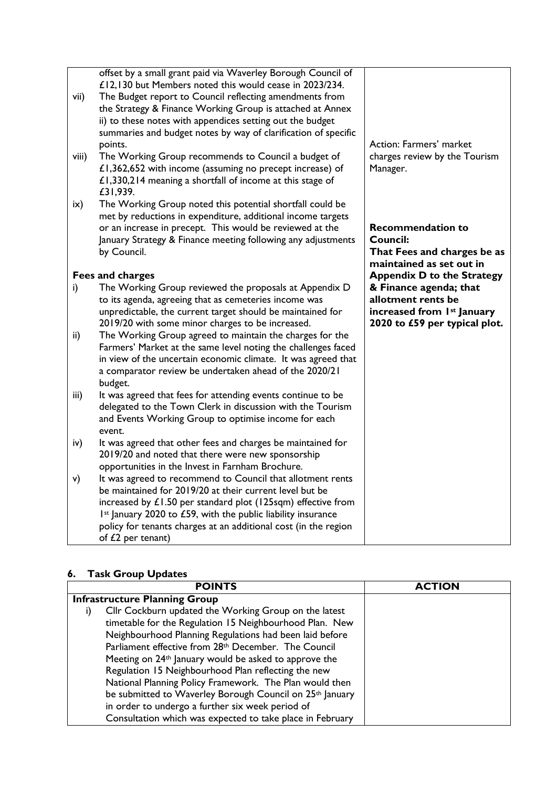| vii)<br>viii) | offset by a small grant paid via Waverley Borough Council of<br>£12,130 but Members noted this would cease in 2023/234.<br>The Budget report to Council reflecting amendments from<br>the Strategy & Finance Working Group is attached at Annex<br>ii) to these notes with appendices setting out the budget<br>summaries and budget notes by way of clarification of specific<br>points.<br>The Working Group recommends to Council a budget of<br>£1,362,652 with income (assuming no precept increase) of<br>£1,330,214 meaning a shortfall of income at this stage of<br>£31,939. | Action: Farmers' market<br>charges review by the Tourism<br>Manager.                                        |
|---------------|---------------------------------------------------------------------------------------------------------------------------------------------------------------------------------------------------------------------------------------------------------------------------------------------------------------------------------------------------------------------------------------------------------------------------------------------------------------------------------------------------------------------------------------------------------------------------------------|-------------------------------------------------------------------------------------------------------------|
| $i\mathsf{x}$ | The Working Group noted this potential shortfall could be<br>met by reductions in expenditure, additional income targets<br>or an increase in precept. This would be reviewed at the<br>January Strategy & Finance meeting following any adjustments<br>by Council.                                                                                                                                                                                                                                                                                                                   | <b>Recommendation to</b><br>Council:<br>That Fees and charges be as<br>maintained as set out in             |
|               | Fees and charges                                                                                                                                                                                                                                                                                                                                                                                                                                                                                                                                                                      | <b>Appendix D to the Strategy</b>                                                                           |
| i)            | The Working Group reviewed the proposals at Appendix D<br>to its agenda, agreeing that as cemeteries income was<br>unpredictable, the current target should be maintained for<br>2019/20 with some minor charges to be increased.                                                                                                                                                                                                                                                                                                                                                     | & Finance agenda; that<br>allotment rents be<br>increased from 1st January<br>2020 to £59 per typical plot. |
| ii)           | The Working Group agreed to maintain the charges for the<br>Farmers' Market at the same level noting the challenges faced<br>in view of the uncertain economic climate. It was agreed that<br>a comparator review be undertaken ahead of the 2020/21<br>budget.                                                                                                                                                                                                                                                                                                                       |                                                                                                             |
| iii)          | It was agreed that fees for attending events continue to be<br>delegated to the Town Clerk in discussion with the Tourism<br>and Events Working Group to optimise income for each<br>event.                                                                                                                                                                                                                                                                                                                                                                                           |                                                                                                             |
| iv)           | It was agreed that other fees and charges be maintained for<br>2019/20 and noted that there were new sponsorship<br>opportunities in the Invest in Farnham Brochure.                                                                                                                                                                                                                                                                                                                                                                                                                  |                                                                                                             |
| v)            | It was agreed to recommend to Council that allotment rents<br>be maintained for 2019/20 at their current level but be<br>increased by $£1.50$ per standard plot (125sqm) effective from<br>Ist January 2020 to £59, with the public liability insurance<br>policy for tenants charges at an additional cost (in the region<br>of $£2$ per tenant)                                                                                                                                                                                                                                     |                                                                                                             |

## **6. Task Group Updates**

| <b>POINTS</b>                                                     | <b>ACTION</b> |
|-------------------------------------------------------------------|---------------|
| <b>Infrastructure Planning Group</b>                              |               |
| Cllr Cockburn updated the Working Group on the latest             |               |
| timetable for the Regulation 15 Neighbourhood Plan. New           |               |
| Neighbourhood Planning Regulations had been laid before           |               |
| Parliament effective from 28 <sup>th</sup> December. The Council  |               |
| Meeting on 24 <sup>th</sup> January would be asked to approve the |               |
| Regulation 15 Neighbourhood Plan reflecting the new               |               |
| National Planning Policy Framework. The Plan would then           |               |
| be submitted to Waverley Borough Council on 25th January          |               |
| in order to undergo a further six week period of                  |               |
| Consultation which was expected to take place in February         |               |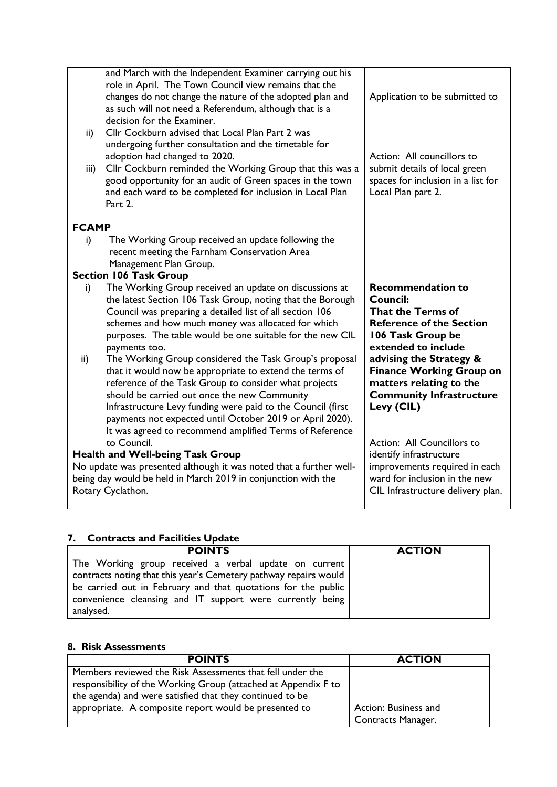| ii)<br>iii)  | and March with the Independent Examiner carrying out his<br>role in April. The Town Council view remains that the<br>changes do not change the nature of the adopted plan and<br>as such will not need a Referendum, although that is a<br>decision for the Examiner.<br>Cllr Cockburn advised that Local Plan Part 2 was<br>undergoing further consultation and the timetable for<br>adoption had changed to 2020.<br>Cllr Cockburn reminded the Working Group that this was a<br>good opportunity for an audit of Green spaces in the town | Application to be submitted to<br>Action: All councillors to<br>submit details of local green<br>spaces for inclusion in a list for                    |
|--------------|----------------------------------------------------------------------------------------------------------------------------------------------------------------------------------------------------------------------------------------------------------------------------------------------------------------------------------------------------------------------------------------------------------------------------------------------------------------------------------------------------------------------------------------------|--------------------------------------------------------------------------------------------------------------------------------------------------------|
|              | and each ward to be completed for inclusion in Local Plan<br>Part $2.$                                                                                                                                                                                                                                                                                                                                                                                                                                                                       | Local Plan part 2.                                                                                                                                     |
| <b>FCAMP</b> |                                                                                                                                                                                                                                                                                                                                                                                                                                                                                                                                              |                                                                                                                                                        |
| i)           | The Working Group received an update following the                                                                                                                                                                                                                                                                                                                                                                                                                                                                                           |                                                                                                                                                        |
|              | recent meeting the Farnham Conservation Area<br>Management Plan Group.                                                                                                                                                                                                                                                                                                                                                                                                                                                                       |                                                                                                                                                        |
|              | <b>Section 106 Task Group</b>                                                                                                                                                                                                                                                                                                                                                                                                                                                                                                                |                                                                                                                                                        |
| i)           | The Working Group received an update on discussions at<br>the latest Section 106 Task Group, noting that the Borough<br>Council was preparing a detailed list of all section 106<br>schemes and how much money was allocated for which<br>purposes. The table would be one suitable for the new CIL<br>payments too.                                                                                                                                                                                                                         | <b>Recommendation to</b><br><b>Council:</b><br><b>That the Terms of</b><br><b>Reference of the Section</b><br>106 Task Group be<br>extended to include |
| ii)          | The Working Group considered the Task Group's proposal<br>that it would now be appropriate to extend the terms of<br>reference of the Task Group to consider what projects<br>should be carried out once the new Community<br>Infrastructure Levy funding were paid to the Council (first<br>payments not expected until October 2019 or April 2020).<br>It was agreed to recommend amplified Terms of Reference                                                                                                                             | advising the Strategy &<br><b>Finance Working Group on</b><br>matters relating to the<br><b>Community Infrastructure</b><br>Levy (CIL)                 |
|              | to Council.<br><b>Health and Well-being Task Group</b>                                                                                                                                                                                                                                                                                                                                                                                                                                                                                       | Action: All Councillors to<br>identify infrastructure                                                                                                  |
|              | No update was presented although it was noted that a further well-                                                                                                                                                                                                                                                                                                                                                                                                                                                                           | improvements required in each                                                                                                                          |
|              | being day would be held in March 2019 in conjunction with the<br>Rotary Cyclathon.                                                                                                                                                                                                                                                                                                                                                                                                                                                           | ward for inclusion in the new<br>CIL Infrastructure delivery plan.                                                                                     |

# **7. Contracts and Facilities Update**

| <b>POINTS</b>                                                    | <b>ACTION</b> |
|------------------------------------------------------------------|---------------|
| The Working group received a verbal update on current            |               |
| contracts noting that this year's Cemetery pathway repairs would |               |
| be carried out in February and that quotations for the public    |               |
| convenience cleansing and IT support were currently being        |               |
| analysed.                                                        |               |

## **8. Risk Assessments**

| <b>POINTS</b>                                                  | <b>ACTION</b>        |
|----------------------------------------------------------------|----------------------|
| Members reviewed the Risk Assessments that fell under the      |                      |
| responsibility of the Working Group (attached at Appendix F to |                      |
| the agenda) and were satisfied that they continued to be       |                      |
| appropriate. A composite report would be presented to          | Action: Business and |
|                                                                | Contracts Manager.   |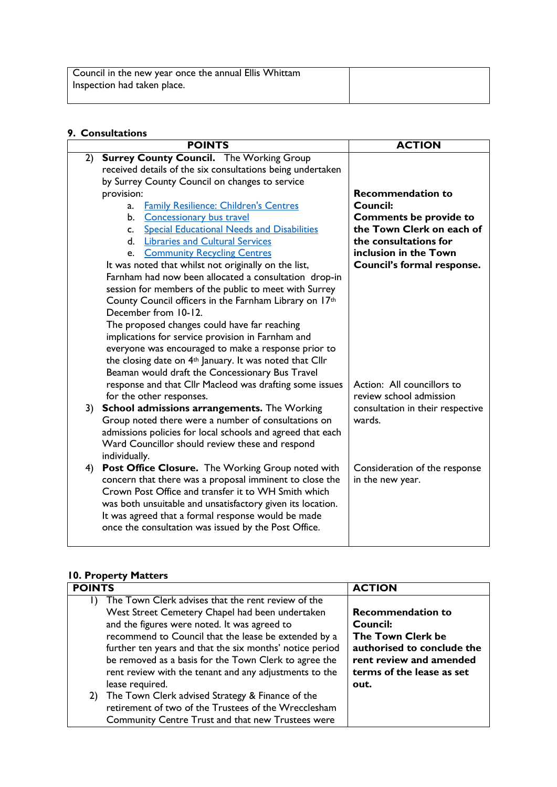| Council in the new year once the annual Ellis Whittam |  |
|-------------------------------------------------------|--|
| Inspection had taken place.                           |  |
|                                                       |  |

#### **9. Consultations**

|    | <b>POINTS</b>                                                       | <b>ACTION</b>                    |
|----|---------------------------------------------------------------------|----------------------------------|
| 2) | <b>Surrey County Council.</b> The Working Group                     |                                  |
|    | received details of the six consultations being undertaken          |                                  |
|    | by Surrey County Council on changes to service                      |                                  |
|    | provision:                                                          | <b>Recommendation to</b>         |
|    | <b>Family Resilience: Children's Centres</b><br>a.                  | Council:                         |
|    | <b>Concessionary bus travel</b><br>b.                               | <b>Comments be provide to</b>    |
|    | <b>Special Educational Needs and Disabilities</b><br>$C_{\cdot}$    | the Town Clerk on each of        |
|    | <b>Libraries and Cultural Services</b><br>$d_{-}$                   | the consultations for            |
|    | <b>Community Recycling Centres</b><br>e.                            | inclusion in the Town            |
|    | It was noted that whilst not originally on the list,                | Council's formal response.       |
|    | Farnham had now been allocated a consultation drop-in               |                                  |
|    | session for members of the public to meet with Surrey               |                                  |
|    | County Council officers in the Farnham Library on 17th              |                                  |
|    | December from 10-12.                                                |                                  |
|    | The proposed changes could have far reaching                        |                                  |
|    | implications for service provision in Farnham and                   |                                  |
|    | everyone was encouraged to make a response prior to                 |                                  |
|    | the closing date on 4 <sup>th</sup> January. It was noted that Cllr |                                  |
|    | Beaman would draft the Concessionary Bus Travel                     |                                  |
|    | response and that Cllr Macleod was drafting some issues             | Action: All councillors to       |
|    | for the other responses.                                            | review school admission          |
| 3) | School admissions arrangements. The Working                         | consultation in their respective |
|    | Group noted there were a number of consultations on                 | wards.                           |
|    | admissions policies for local schools and agreed that each          |                                  |
|    | Ward Councillor should review these and respond                     |                                  |
|    | individually.                                                       |                                  |
| 4) | Post Office Closure. The Working Group noted with                   | Consideration of the response    |
|    | concern that there was a proposal imminent to close the             | in the new year.                 |
|    | Crown Post Office and transfer it to WH Smith which                 |                                  |
|    | was both unsuitable and unsatisfactory given its location.          |                                  |
|    | It was agreed that a formal response would be made                  |                                  |
|    | once the consultation was issued by the Post Office.                |                                  |
|    |                                                                     |                                  |

# **10. Property Matters**

| <b>POINTS</b>                                                      | <b>ACTION</b>              |
|--------------------------------------------------------------------|----------------------------|
| The Town Clerk advises that the rent review of the<br>$\mathbf{D}$ |                            |
| West Street Cemetery Chapel had been undertaken                    | <b>Recommendation to</b>   |
| and the figures were noted. It was agreed to                       | <b>Council:</b>            |
| recommend to Council that the lease be extended by a               | The Town Clerk be          |
| further ten years and that the six months' notice period           | authorised to conclude the |
| be removed as a basis for the Town Clerk to agree the              | rent review and amended    |
| rent review with the tenant and any adjustments to the             | terms of the lease as set  |
| lease required.                                                    | out.                       |
| The Town Clerk advised Strategy & Finance of the<br>2)             |                            |
| retirement of two of the Trustees of the Wrecclesham               |                            |
| Community Centre Trust and that new Trustees were                  |                            |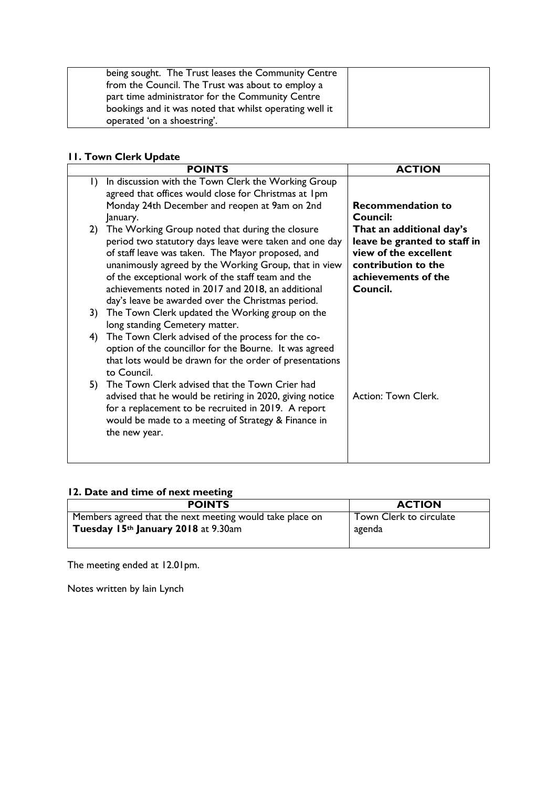| being sought. The Trust leases the Community Centre<br>from the Council. The Trust was about to employ a |  |
|----------------------------------------------------------------------------------------------------------|--|
| part time administrator for the Community Centre                                                         |  |
| bookings and it was noted that whilst operating well it                                                  |  |
| operated 'on a shoestring'.                                                                              |  |

#### **11. Town Clerk Update**

|           | <b>POINTS</b>                                                                                                                                                                                                                                                                                                                                                                           | <b>ACTION</b>                                                                                                                               |
|-----------|-----------------------------------------------------------------------------------------------------------------------------------------------------------------------------------------------------------------------------------------------------------------------------------------------------------------------------------------------------------------------------------------|---------------------------------------------------------------------------------------------------------------------------------------------|
| $\vert$ ) | In discussion with the Town Clerk the Working Group<br>agreed that offices would close for Christmas at 1pm                                                                                                                                                                                                                                                                             |                                                                                                                                             |
|           | Monday 24th December and reopen at 9am on 2nd<br>January.                                                                                                                                                                                                                                                                                                                               | <b>Recommendation to</b><br>Council:                                                                                                        |
| 2)        | The Working Group noted that during the closure<br>period two statutory days leave were taken and one day<br>of staff leave was taken. The Mayor proposed, and<br>unanimously agreed by the Working Group, that in view<br>of the exceptional work of the staff team and the<br>achievements noted in 2017 and 2018, an additional<br>day's leave be awarded over the Christmas period. | That an additional day's<br>leave be granted to staff in<br>view of the excellent<br>contribution to the<br>achievements of the<br>Council. |
| 3)        | The Town Clerk updated the Working group on the<br>long standing Cemetery matter.                                                                                                                                                                                                                                                                                                       |                                                                                                                                             |
| 4)        | The Town Clerk advised of the process for the co-<br>option of the councillor for the Bourne. It was agreed<br>that lots would be drawn for the order of presentations<br>to Council.                                                                                                                                                                                                   |                                                                                                                                             |
| 5)        | The Town Clerk advised that the Town Crier had<br>advised that he would be retiring in 2020, giving notice<br>for a replacement to be recruited in 2019. A report<br>would be made to a meeting of Strategy & Finance in<br>the new year.                                                                                                                                               | Action: Town Clerk.                                                                                                                         |

# **12. Date and time of next meeting**

| <b>POINTS</b>                                            | <b>ACTION</b>           |
|----------------------------------------------------------|-------------------------|
| Members agreed that the next meeting would take place on | Town Clerk to circulate |
| Tuesday 15th January 2018 at 9.30am                      | agenda                  |
|                                                          |                         |

The meeting ended at 12.01pm.

Notes written by Iain Lynch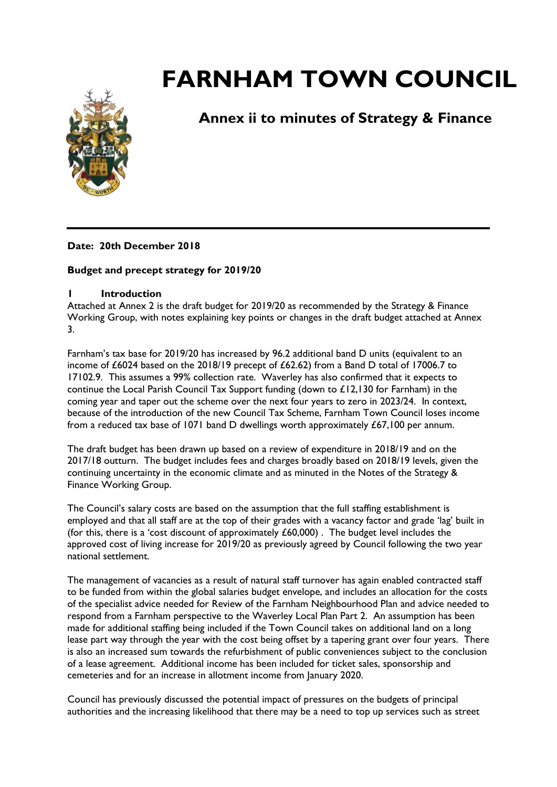

# **Annex ii to minutes of Strategy & Finance**

#### **Date: 20th December 2018**

#### **Budget and precept strategy for 2019/20**

#### **1 Introduction**

Attached at Annex 2 is the draft budget for 2019/20 as recommended by the Strategy & Finance Working Group, with notes explaining key points or changes in the draft budget attached at Annex 3.

Farnham's tax base for 2019/20 has increased by 96.2 additional band D units (equivalent to an income of £6024 based on the 2018/19 precept of £62.62) from a Band D total of 17006.7 to 17102.9. This assumes a 99% collection rate. Waverley has also confirmed that it expects to continue the Local Parish Council Tax Support funding (down to £12,130 for Farnham) in the coming year and taper out the scheme over the next four years to zero in 2023/24. In context, because of the introduction of the new Council Tax Scheme, Farnham Town Council loses income from a reduced tax base of 1071 band D dwellings worth approximately £67,100 per annum.

The draft budget has been drawn up based on a review of expenditure in 2018/19 and on the 2017/18 outturn. The budget includes fees and charges broadly based on 2018/19 levels, given the continuing uncertainty in the economic climate and as minuted in the Notes of the Strategy & Finance Working Group.

The Council's salary costs are based on the assumption that the full staffing establishment is employed and that all staff are at the top of their grades with a vacancy factor and grade 'lag' built in (for this, there is a 'cost discount of approximately  $£60,000$ ). The budget level includes the approved cost of living increase for 2019/20 as previously agreed by Council following the two year national settlement.

The management of vacancies as a result of natural staff turnover has again enabled contracted staff to be funded from within the global salaries budget envelope, and includes an allocation for the costs of the specialist advice needed for Review of the Farnham Neighbourhood Plan and advice needed to respond from a Farnham perspective to the Waverley Local Plan Part 2. An assumption has been made for additional staffing being included if the Town Council takes on additional land on a long lease part way through the year with the cost being offset by a tapering grant over four years. There is also an increased sum towards the refurbishment of public conveniences subject to the conclusion of a lease agreement. Additional income has been included for ticket sales, sponsorship and cemeteries and for an increase in allotment income from January 2020.

Council has previously discussed the potential impact of pressures on the budgets of principal authorities and the increasing likelihood that there may be a need to top up services such as street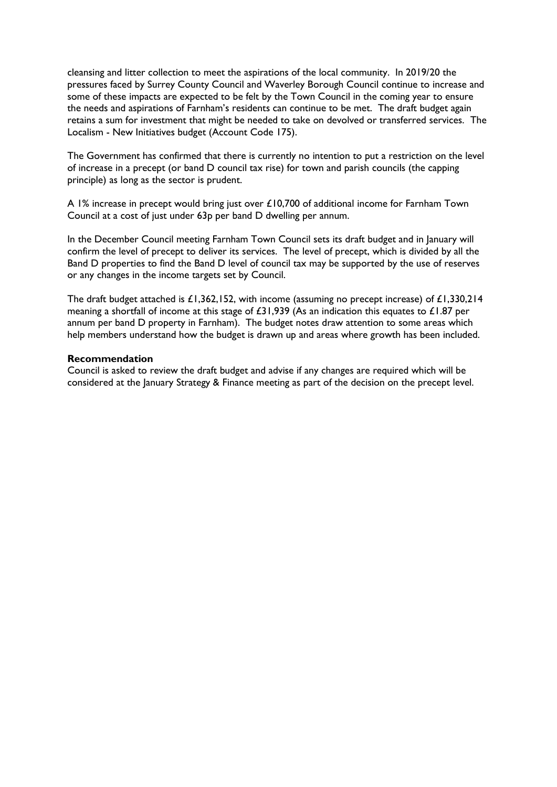cleansing and litter collection to meet the aspirations of the local community. In 2019/20 the pressures faced by Surrey County Council and Waverley Borough Council continue to increase and some of these impacts are expected to be felt by the Town Council in the coming year to ensure the needs and aspirations of Farnham's residents can continue to be met. The draft budget again retains a sum for investment that might be needed to take on devolved or transferred services. The Localism - New Initiatives budget (Account Code 175).

The Government has confirmed that there is currently no intention to put a restriction on the level of increase in a precept (or band D council tax rise) for town and parish councils (the capping principle) as long as the sector is prudent.

A 1% increase in precept would bring just over £10,700 of additional income for Farnham Town Council at a cost of just under 63p per band D dwelling per annum.

In the December Council meeting Farnham Town Council sets its draft budget and in January will confirm the level of precept to deliver its services. The level of precept, which is divided by all the Band D properties to find the Band D level of council tax may be supported by the use of reserves or any changes in the income targets set by Council.

The draft budget attached is £1,362,152, with income (assuming no precept increase) of £1,330,214 meaning a shortfall of income at this stage of £31,939 (As an indication this equates to £1.87 per annum per band D property in Farnham). The budget notes draw attention to some areas which help members understand how the budget is drawn up and areas where growth has been included.

#### **Recommendation**

Council is asked to review the draft budget and advise if any changes are required which will be considered at the January Strategy & Finance meeting as part of the decision on the precept level.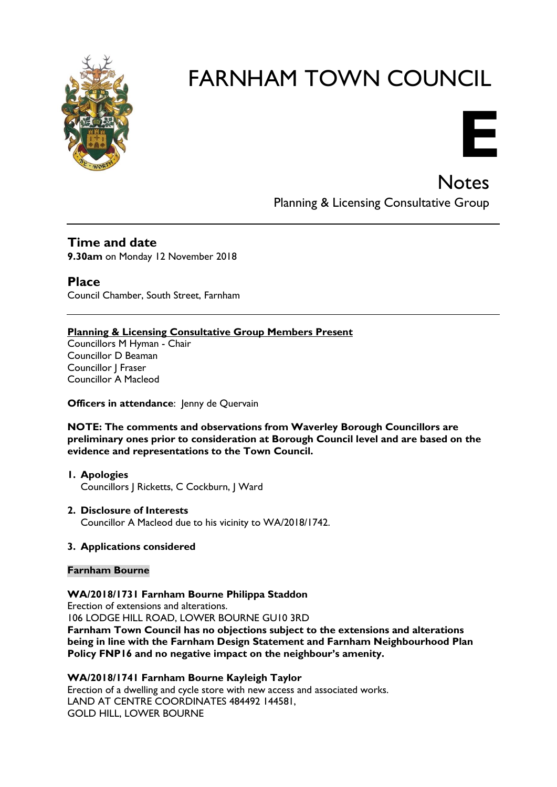



**Notes** Planning & Licensing Consultative Group

**Time and date 9.30am** on Monday 12 November 2018

**Place** Council Chamber, South Street, Farnham

#### **Planning & Licensing Consultative Group Members Present**

Councillors M Hyman - Chair Councillor D Beaman Councillor J Fraser Councillor A Macleod

**Officers in attendance:** Jenny de Quervain

**NOTE: The comments and observations from Waverley Borough Councillors are preliminary ones prior to consideration at Borough Council level and are based on the evidence and representations to the Town Council.**

- **1. Apologies** Councillors J Ricketts, C Cockburn, J Ward
- **2. Disclosure of Interests** Councillor A Macleod due to his vicinity to WA/2018/1742.

#### **3. Applications considered**

#### **Farnham Bourne**

**WA/2018/1731 Farnham Bourne Philippa Staddon**

Erection of extensions and alterations. 106 LODGE HILL ROAD, LOWER BOURNE GU10 3RD **Farnham Town Council has no objections subject to the extensions and alterations being in line with the Farnham Design Statement and Farnham Neighbourhood Plan Policy FNP16 and no negative impact on the neighbour's amenity.**

**WA/2018/1741 Farnham Bourne Kayleigh Taylor**

Erection of a dwelling and cycle store with new access and associated works. LAND AT CENTRE COORDINATES 484492 144581, GOLD HILL, LOWER BOURNE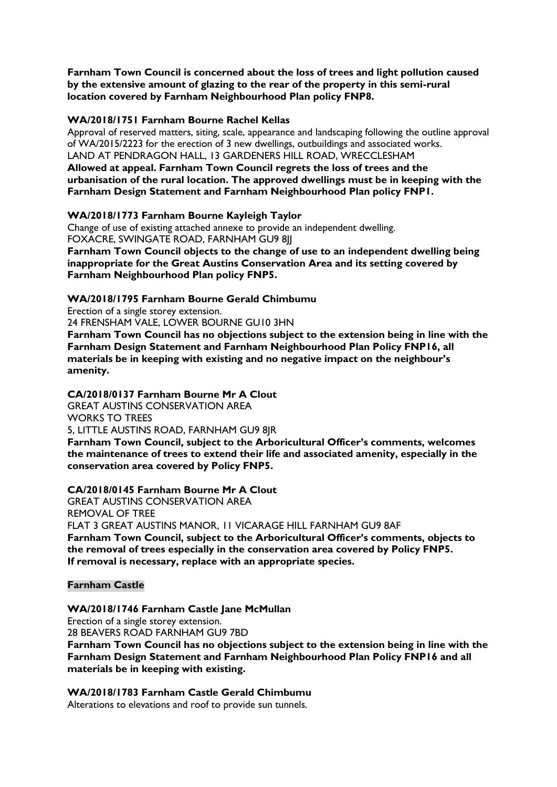**Farnham Town Council is concerned about the loss of trees and light pollution caused by the extensive amount of glazing to the rear of the property in this semi-rural location covered by Farnham Neighbourhood Plan policy FNP8.**

#### **WA/2018/1751 Farnham Bourne Rachel Kellas**

Approval of reserved matters, siting, scale, appearance and landscaping following the outline approval of WA/2015/2223 for the erection of 3 new dwellings, outbuildings and associated works. LAND AT PENDRAGON HALL, 13 GARDENERS HILL ROAD, WRECCLESHAM **Allowed at appeal. Farnham Town Council regrets the loss of trees and the** 

**urbanisation of the rural location. The approved dwellings must be in keeping with the Farnham Design Statement and Farnham Neighbourhood Plan policy FNP1.**

#### **WA/2018/1773 Farnham Bourne Kayleigh Taylor**

Change of use of existing attached annexe to provide an independent dwelling. FOXACRE, SWINGATE ROAD, FARNHAM GU9 8JJ

**Farnham Town Council objects to the change of use to an independent dwelling being inappropriate for the Great Austins Conservation Area and its setting covered by Farnham Neighbourhood Plan policy FNP5.**

#### **WA/2018/1795 Farnham Bourne Gerald Chimbumu**

Erection of a single storey extension.

24 FRENSHAM VALE, LOWER BOURNE GU10 3HN

**Farnham Town Council has no objections subject to the extension being in line with the Farnham Design Statement and Farnham Neighbourhood Plan Policy FNP16, all materials be in keeping with existing and no negative impact on the neighbour's amenity.**

#### **CA/2018/0137 Farnham Bourne Mr A Clout**

GREAT AUSTINS CONSERVATION AREA WORKS TO TREES

5, LITTLE AUSTINS ROAD, FARNHAM GU9 8JR

**Farnham Town Council, subject to the Arboricultural Officer's comments, welcomes the maintenance of trees to extend their life and associated amenity, especially in the conservation area covered by Policy FNP5.**

#### **CA/2018/0145 Farnham Bourne Mr A Clout**

GREAT AUSTINS CONSERVATION AREA REMOVAL OF TREE FLAT 3 GREAT AUSTINS MANOR, 11 VICARAGE HILL FARNHAM GU9 8AF **Farnham Town Council, subject to the Arboricultural Officer's comments, objects to the removal of trees especially in the conservation area covered by Policy FNP5. If removal is necessary, replace with an appropriate species.**

#### **Farnham Castle**

**WA/2018/1746 Farnham Castle Jane McMullan**

Erection of a single storey extension. 28 BEAVERS ROAD FARNHAM GU9 7BD

**Farnham Town Council has no objections subject to the extension being in line with the Farnham Design Statement and Farnham Neighbourhood Plan Policy FNP16 and all materials be in keeping with existing.**

#### **WA/2018/1783 Farnham Castle Gerald Chimbumu**

Alterations to elevations and roof to provide sun tunnels.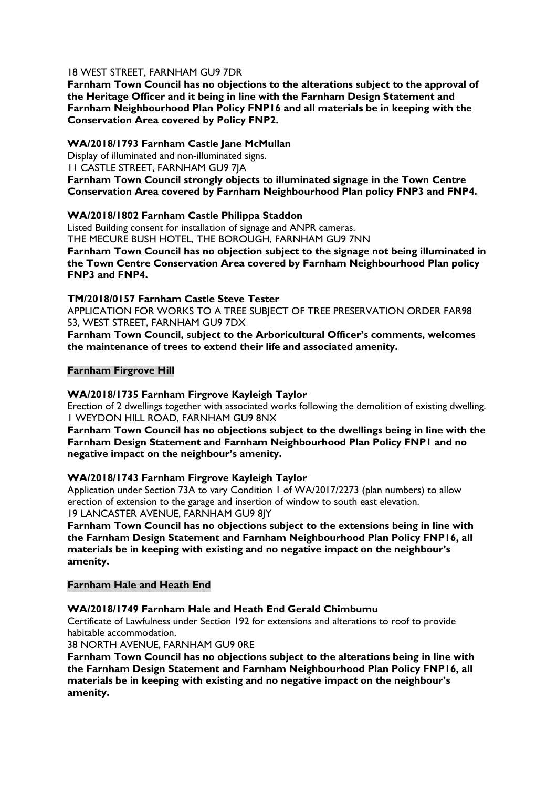#### 18 WEST STREET, FARNHAM GU9 7DR

**Farnham Town Council has no objections to the alterations subject to the approval of the Heritage Officer and it being in line with the Farnham Design Statement and Farnham Neighbourhood Plan Policy FNP16 and all materials be in keeping with the Conservation Area covered by Policy FNP2.** 

#### **WA/2018/1793 Farnham Castle Jane McMullan**

Display of illuminated and non-illuminated signs. 11 CASTLE STREET, FARNHAM GU9 7JA **Farnham Town Council strongly objects to illuminated signage in the Town Centre Conservation Area covered by Farnham Neighbourhood Plan policy FNP3 and FNP4.**

#### **WA/2018/1802 Farnham Castle Philippa Staddon**

Listed Building consent for installation of signage and ANPR cameras. THE MECURE BUSH HOTEL, THE BOROUGH, FARNHAM GU9 7NN

**Farnham Town Council has no objection subject to the signage not being illuminated in the Town Centre Conservation Area covered by Farnham Neighbourhood Plan policy FNP3 and FNP4.**

#### **TM/2018/0157 Farnham Castle Steve Tester**

APPLICATION FOR WORKS TO A TREE SUBJECT OF TREE PRESERVATION ORDER FAR98 53, WEST STREET, FARNHAM GU9 7DX

**Farnham Town Council, subject to the Arboricultural Officer's comments, welcomes the maintenance of trees to extend their life and associated amenity.**

#### **Farnham Firgrove Hill**

#### **WA/2018/1735 Farnham Firgrove Kayleigh Taylor**

Erection of 2 dwellings together with associated works following the demolition of existing dwelling. 1 WEYDON HILL ROAD, FARNHAM GU9 8NX

**Farnham Town Council has no objections subject to the dwellings being in line with the Farnham Design Statement and Farnham Neighbourhood Plan Policy FNP1 and no negative impact on the neighbour's amenity.**

#### **WA/2018/1743 Farnham Firgrove Kayleigh Taylor**

Application under Section 73A to vary Condition 1 of WA/2017/2273 (plan numbers) to allow erection of extension to the garage and insertion of window to south east elevation. 19 LANCASTER AVENUE, FARNHAM GU9 8JY

**Farnham Town Council has no objections subject to the extensions being in line with the Farnham Design Statement and Farnham Neighbourhood Plan Policy FNP16, all materials be in keeping with existing and no negative impact on the neighbour's amenity.**

#### **Farnham Hale and Heath End**

#### **WA/2018/1749 Farnham Hale and Heath End Gerald Chimbumu**

Certificate of Lawfulness under Section 192 for extensions and alterations to roof to provide habitable accommodation.

38 NORTH AVENUE, FARNHAM GU9 0RE

**Farnham Town Council has no objections subject to the alterations being in line with the Farnham Design Statement and Farnham Neighbourhood Plan Policy FNP16, all materials be in keeping with existing and no negative impact on the neighbour's amenity.**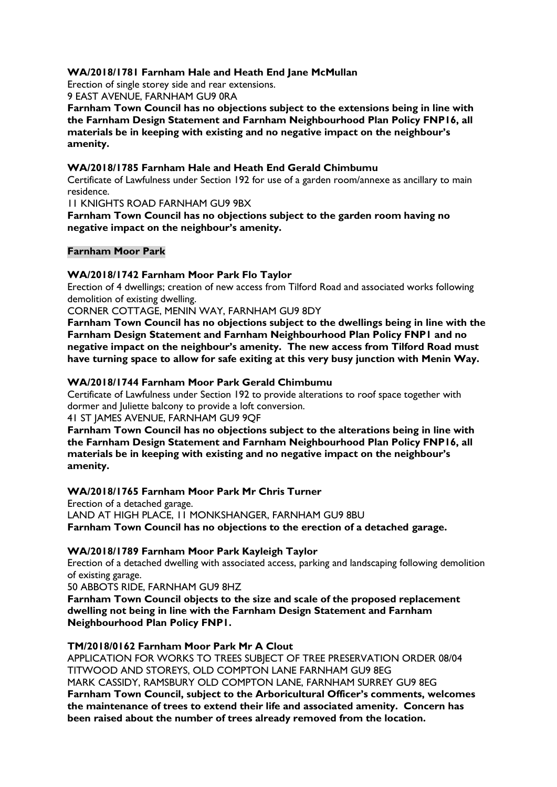#### **WA/2018/1781 Farnham Hale and Heath End Jane McMullan**

Erection of single storey side and rear extensions. 9 EAST AVENUE, FARNHAM GU9 0RA

**Farnham Town Council has no objections subject to the extensions being in line with the Farnham Design Statement and Farnham Neighbourhood Plan Policy FNP16, all materials be in keeping with existing and no negative impact on the neighbour's amenity.**

#### **WA/2018/1785 Farnham Hale and Heath End Gerald Chimbumu**

Certificate of Lawfulness under Section 192 for use of a garden room/annexe as ancillary to main residence.

11 KNIGHTS ROAD FARNHAM GU9 9BX

**Farnham Town Council has no objections subject to the garden room having no negative impact on the neighbour's amenity.**

#### **Farnham Moor Park**

#### **WA/2018/1742 Farnham Moor Park Flo Taylor**

Erection of 4 dwellings; creation of new access from Tilford Road and associated works following demolition of existing dwelling.

CORNER COTTAGE, MENIN WAY, FARNHAM GU9 8DY

**Farnham Town Council has no objections subject to the dwellings being in line with the Farnham Design Statement and Farnham Neighbourhood Plan Policy FNP1 and no negative impact on the neighbour's amenity. The new access from Tilford Road must have turning space to allow for safe exiting at this very busy junction with Menin Way.**

#### **WA/2018/1744 Farnham Moor Park Gerald Chimbumu**

Certificate of Lawfulness under Section 192 to provide alterations to roof space together with dormer and Juliette balcony to provide a loft conversion. 41 ST JAMES AVENUE, FARNHAM GU9 9QF

**Farnham Town Council has no objections subject to the alterations being in line with the Farnham Design Statement and Farnham Neighbourhood Plan Policy FNP16, all materials be in keeping with existing and no negative impact on the neighbour's** 

**amenity.**

#### **WA/2018/1765 Farnham Moor Park Mr Chris Turner**

Erection of a detached garage. LAND AT HIGH PLACE, 11 MONKSHANGER, FARNHAM GU9 8BU **Farnham Town Council has no objections to the erection of a detached garage.**

#### **WA/2018/1789 Farnham Moor Park Kayleigh Taylor**

Erection of a detached dwelling with associated access, parking and landscaping following demolition of existing garage.

50 ABBOTS RIDE, FARNHAM GU9 8HZ

**Farnham Town Council objects to the size and scale of the proposed replacement dwelling not being in line with the Farnham Design Statement and Farnham Neighbourhood Plan Policy FNP1.** 

#### **TM/2018/0162 Farnham Moor Park Mr A Clout**

APPLICATION FOR WORKS TO TREES SUBJECT OF TREE PRESERVATION ORDER 08/04 TITWOOD AND STOREYS, OLD COMPTON LANE FARNHAM GU9 8EG MARK CASSIDY, RAMSBURY OLD COMPTON LANE, FARNHAM SURREY GU9 8EG **Farnham Town Council, subject to the Arboricultural Officer's comments, welcomes the maintenance of trees to extend their life and associated amenity. Concern has been raised about the number of trees already removed from the location.**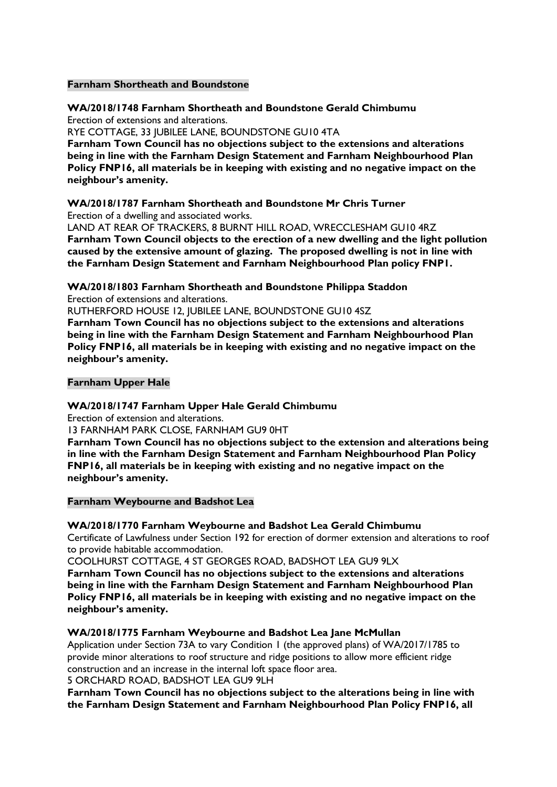#### **Farnham Shortheath and Boundstone**

#### **WA/2018/1748 Farnham Shortheath and Boundstone Gerald Chimbumu**

Erection of extensions and alterations.

RYE COTTAGE, 33 JUBILEE LANE, BOUNDSTONE GU10 4TA

**Farnham Town Council has no objections subject to the extensions and alterations being in line with the Farnham Design Statement and Farnham Neighbourhood Plan Policy FNP16, all materials be in keeping with existing and no negative impact on the neighbour's amenity.**

#### **WA/2018/1787 Farnham Shortheath and Boundstone Mr Chris Turner** Erection of a dwelling and associated works.

LAND AT REAR OF TRACKERS, 8 BURNT HILL ROAD, WRECCLESHAM GU10 4RZ **Farnham Town Council objects to the erection of a new dwelling and the light pollution caused by the extensive amount of glazing. The proposed dwelling is not in line with the Farnham Design Statement and Farnham Neighbourhood Plan policy FNP1.**

#### **WA/2018/1803 Farnham Shortheath and Boundstone Philippa Staddon**

Erection of extensions and alterations.

RUTHERFORD HOUSE 12, JUBILEE LANE, BOUNDSTONE GU10 4SZ

**Farnham Town Council has no objections subject to the extensions and alterations being in line with the Farnham Design Statement and Farnham Neighbourhood Plan Policy FNP16, all materials be in keeping with existing and no negative impact on the neighbour's amenity.**

#### **Farnham Upper Hale**

#### **WA/2018/1747 Farnham Upper Hale Gerald Chimbumu**

Erection of extension and alterations.

13 FARNHAM PARK CLOSE, FARNHAM GU9 0HT

**Farnham Town Council has no objections subject to the extension and alterations being in line with the Farnham Design Statement and Farnham Neighbourhood Plan Policy FNP16, all materials be in keeping with existing and no negative impact on the neighbour's amenity.**

#### **Farnham Weybourne and Badshot Lea**

#### **WA/2018/1770 Farnham Weybourne and Badshot Lea Gerald Chimbumu**

Certificate of Lawfulness under Section 192 for erection of dormer extension and alterations to roof to provide habitable accommodation.

COOLHURST COTTAGE, 4 ST GEORGES ROAD, BADSHOT LEA GU9 9LX

**Farnham Town Council has no objections subject to the extensions and alterations being in line with the Farnham Design Statement and Farnham Neighbourhood Plan Policy FNP16, all materials be in keeping with existing and no negative impact on the neighbour's amenity.**

#### **WA/2018/1775 Farnham Weybourne and Badshot Lea Jane McMullan**

Application under Section 73A to vary Condition 1 (the approved plans) of WA/2017/1785 to provide minor alterations to roof structure and ridge positions to allow more efficient ridge construction and an increase in the internal loft space floor area.

5 ORCHARD ROAD, BADSHOT LEA GU9 9LH

**Farnham Town Council has no objections subject to the alterations being in line with the Farnham Design Statement and Farnham Neighbourhood Plan Policy FNP16, all**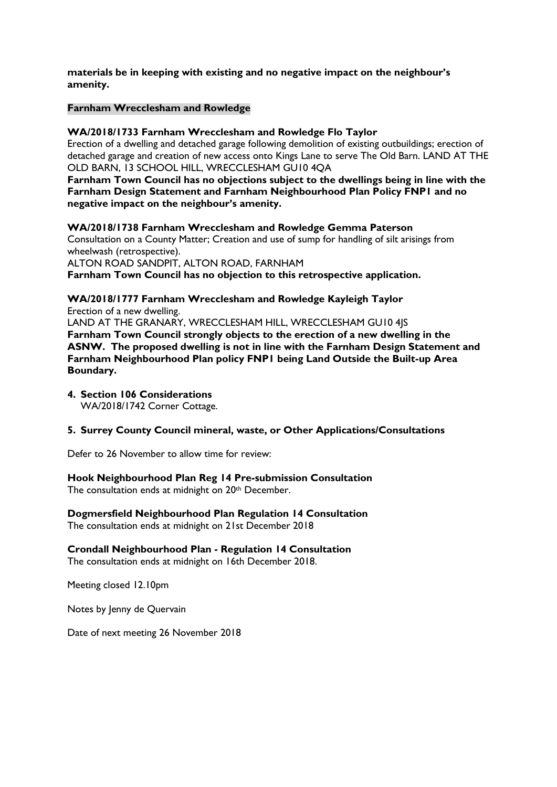**materials be in keeping with existing and no negative impact on the neighbour's amenity.**

#### **Farnham Wrecclesham and Rowledge**

#### **WA/2018/1733 Farnham Wrecclesham and Rowledge Flo Taylor**

Erection of a dwelling and detached garage following demolition of existing outbuildings; erection of detached garage and creation of new access onto Kings Lane to serve The Old Barn. LAND AT THE OLD BARN, 13 SCHOOL HILL, WRECCLESHAM GU10 4QA

**Farnham Town Council has no objections subject to the dwellings being in line with the Farnham Design Statement and Farnham Neighbourhood Plan Policy FNP1 and no negative impact on the neighbour's amenity.** 

**WA/2018/1738 Farnham Wrecclesham and Rowledge Gemma Paterson** Consultation on a County Matter; Creation and use of sump for handling of silt arisings from wheelwash (retrospective).

ALTON ROAD SANDPIT, ALTON ROAD, FARNHAM **Farnham Town Council has no objection to this retrospective application.**

**WA/2018/1777 Farnham Wrecclesham and Rowledge Kayleigh Taylor** Erection of a new dwelling.

LAND AT THE GRANARY, WRECCLESHAM HILL, WRECCLESHAM GU10 4JS **Farnham Town Council strongly objects to the erection of a new dwelling in the ASNW. The proposed dwelling is not in line with the Farnham Design Statement and Farnham Neighbourhood Plan policy FNP1 being Land Outside the Built-up Area Boundary.**

**4. Section 106 Considerations**  WA/2018/1742 Corner Cottage.

#### **5. Surrey County Council mineral, waste, or Other Applications/Consultations**

Defer to 26 November to allow time for review:

**Hook Neighbourhood Plan Reg 14 Pre-submission Consultation** The consultation ends at midnight on 20th December.

**Dogmersfield Neighbourhood Plan Regulation 14 Consultation** The consultation ends at midnight on 21st December 2018

**Crondall Neighbourhood Plan - Regulation 14 Consultation** The consultation ends at midnight on 16th December 2018.

Meeting closed 12.10pm

Notes by Jenny de Quervain

Date of next meeting 26 November 2018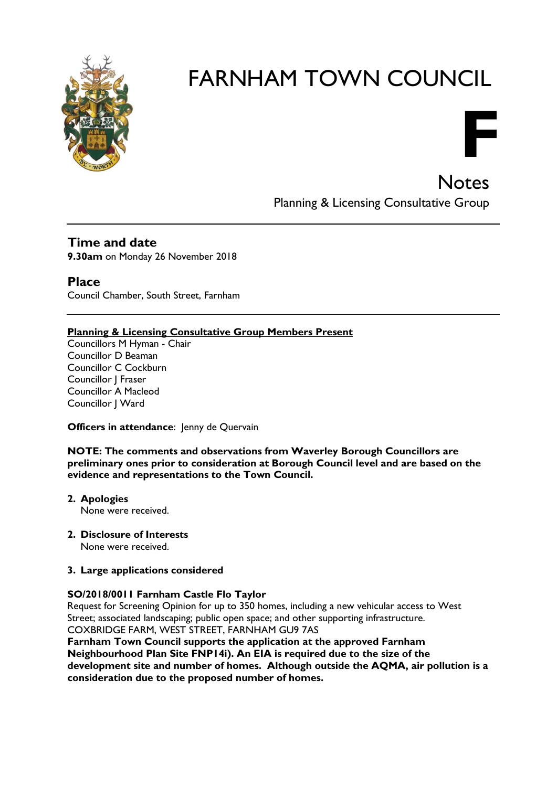

**Notes** Planning & Licensing Consultative Group

**F**

# **Time and date**

**9.30am** on Monday 26 November 2018

## **Place**

Council Chamber, South Street, Farnham

#### **Planning & Licensing Consultative Group Members Present**

Councillors M Hyman - Chair Councillor D Beaman Councillor C Cockburn Councillor J Fraser Councillor A Macleod Councillor | Ward

**Officers in attendance:** Jenny de Quervain

**NOTE: The comments and observations from Waverley Borough Councillors are preliminary ones prior to consideration at Borough Council level and are based on the evidence and representations to the Town Council.**

- **2. Apologies** None were received.
- **2. Disclosure of Interests** None were received.

#### **3. Large applications considered**

#### **SO/2018/0011 Farnham Castle Flo Taylor**

Request for Screening Opinion for up to 350 homes, including a new vehicular access to West Street; associated landscaping; public open space; and other supporting infrastructure. COXBRIDGE FARM, WEST STREET, FARNHAM GU9 7AS

**Farnham Town Council supports the application at the approved Farnham Neighbourhood Plan Site FNP14i). An EIA is required due to the size of the development site and number of homes. Although outside the AQMA, air pollution is a consideration due to the proposed number of homes.**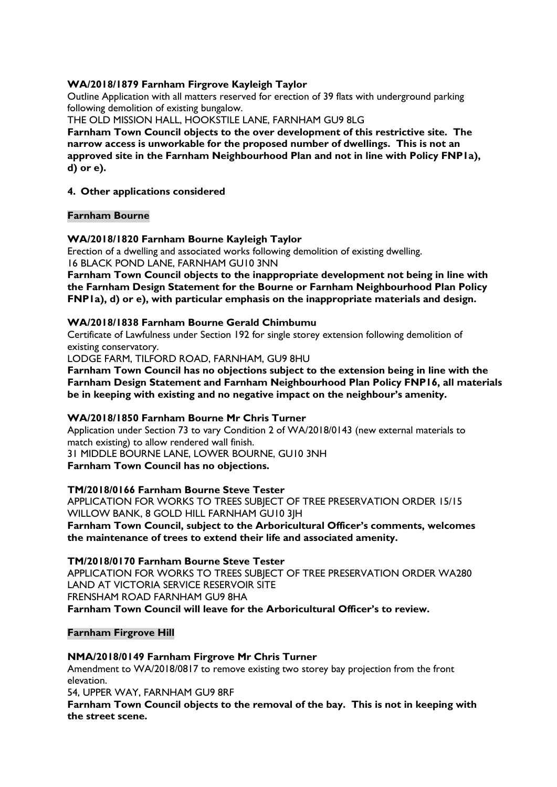#### **WA/2018/1879 Farnham Firgrove Kayleigh Taylor**

Outline Application with all matters reserved for erection of 39 flats with underground parking following demolition of existing bungalow.

THE OLD MISSION HALL, HOOKSTILE LANE, FARNHAM GU9 8LG

**Farnham Town Council objects to the over development of this restrictive site. The narrow access is unworkable for the proposed number of dwellings. This is not an approved site in the Farnham Neighbourhood Plan and not in line with Policy FNP1a), d) or e).**

#### **4. Other applications considered**

#### **Farnham Bourne**

#### **WA/2018/1820 Farnham Bourne Kayleigh Taylor**

Erection of a dwelling and associated works following demolition of existing dwelling. 16 BLACK POND LANE, FARNHAM GU10 3NN

**Farnham Town Council objects to the inappropriate development not being in line with the Farnham Design Statement for the Bourne or Farnham Neighbourhood Plan Policy FNP1a), d) or e), with particular emphasis on the inappropriate materials and design.**

#### **WA/2018/1838 Farnham Bourne Gerald Chimbumu**

Certificate of Lawfulness under Section 192 for single storey extension following demolition of existing conservatory.

LODGE FARM, TILFORD ROAD, FARNHAM, GU9 8HU

**Farnham Town Council has no objections subject to the extension being in line with the Farnham Design Statement and Farnham Neighbourhood Plan Policy FNP16, all materials be in keeping with existing and no negative impact on the neighbour's amenity.**

#### **WA/2018/1850 Farnham Bourne Mr Chris Turner**

Application under Section 73 to vary Condition 2 of WA/2018/0143 (new external materials to match existing) to allow rendered wall finish.

31 MIDDLE BOURNE LANE, LOWER BOURNE, GU10 3NH

**Farnham Town Council has no objections.**

#### **TM/2018/0166 Farnham Bourne Steve Tester**

APPLICATION FOR WORKS TO TREES SUBJECT OF TREE PRESERVATION ORDER 15/15 WILLOW BANK, 8 GOLD HILL FARNHAM GU10 3JH **Farnham Town Council, subject to the Arboricultural Officer's comments, welcomes the maintenance of trees to extend their life and associated amenity.**

#### **TM/2018/0170 Farnham Bourne Steve Tester**

APPLICATION FOR WORKS TO TREES SUBJECT OF TREE PRESERVATION ORDER WA280 LAND AT VICTORIA SERVICE RESERVOIR SITE FRENSHAM ROAD FARNHAM GU9 8HA **Farnham Town Council will leave for the Arboricultural Officer's to review.**

#### **Farnham Firgrove Hill**

**NMA/2018/0149 Farnham Firgrove Mr Chris Turner**

Amendment to WA/2018/0817 to remove existing two storey bay projection from the front elevation.

54, UPPER WAY, FARNHAM GU9 8RF

**Farnham Town Council objects to the removal of the bay. This is not in keeping with the street scene.**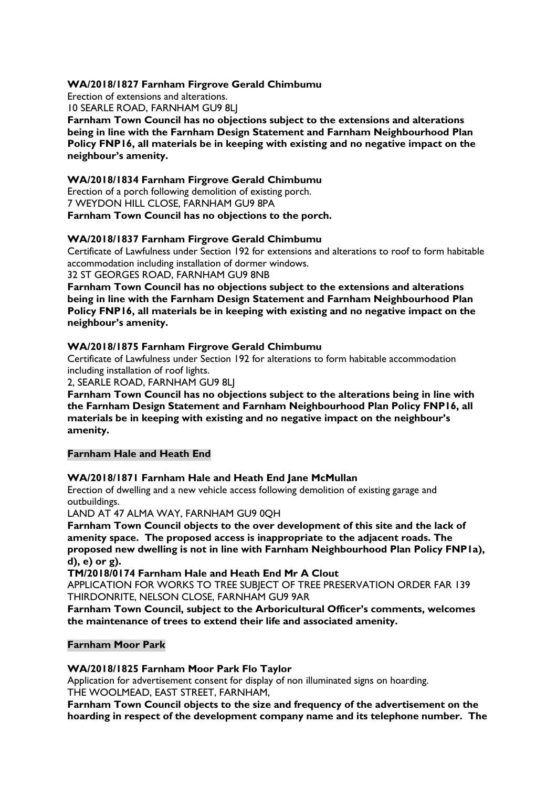#### **WA/2018/1827 Farnham Firgrove Gerald Chimbumu**

Erection of extensions and alterations. 10 SEARLE ROAD, FARNHAM GU9 8LJ **Farnham Town Council has no objections subject to the extensions and alterations being in line with the Farnham Design Statement and Farnham Neighbourhood Plan Policy FNP16, all materials be in keeping with existing and no negative impact on the neighbour's amenity.**

#### **WA/2018/1834 Farnham Firgrove Gerald Chimbumu**

Erection of a porch following demolition of existing porch. 7 WEYDON HILL CLOSE, FARNHAM GU9 8PA **Farnham Town Council has no objections to the porch.**

#### **WA/2018/1837 Farnham Firgrove Gerald Chimbumu**

Certificate of Lawfulness under Section 192 for extensions and alterations to roof to form habitable accommodation including installation of dormer windows.

32 ST GEORGES ROAD, FARNHAM GU9 8NB

**Farnham Town Council has no objections subject to the extensions and alterations being in line with the Farnham Design Statement and Farnham Neighbourhood Plan Policy FNP16, all materials be in keeping with existing and no negative impact on the neighbour's amenity.**

#### **WA/2018/1875 Farnham Firgrove Gerald Chimbumu**

Certificate of Lawfulness under Section 192 for alterations to form habitable accommodation including installation of roof lights.

2, SEARLE ROAD, FARNHAM GU9 8LJ

**Farnham Town Council has no objections subject to the alterations being in line with the Farnham Design Statement and Farnham Neighbourhood Plan Policy FNP16, all materials be in keeping with existing and no negative impact on the neighbour's amenity.**

#### **Farnham Hale and Heath End**

#### **WA/2018/1871 Farnham Hale and Heath End Jane McMullan**

Erection of dwelling and a new vehicle access following demolition of existing garage and outbuildings.

LAND AT 47 ALMA WAY, FARNHAM GU9 0QH

**Farnham Town Council objects to the over development of this site and the lack of amenity space. The proposed access is inappropriate to the adjacent roads. The proposed new dwelling is not in line with Farnham Neighbourhood Plan Policy FNP1a), d), e) or g).**

**TM/2018/0174 Farnham Hale and Heath End Mr A Clout**

APPLICATION FOR WORKS TO TREE SUBJECT OF TREE PRESERVATION ORDER FAR 139 THIRDONRITE, NELSON CLOSE, FARNHAM GU9 9AR

**Farnham Town Council, subject to the Arboricultural Officer's comments, welcomes the maintenance of trees to extend their life and associated amenity.**

#### **Farnham Moor Park**

**WA/2018/1825 Farnham Moor Park Flo Taylor**

Application for advertisement consent for display of non illuminated signs on hoarding. THE WOOLMEAD, EAST STREET, FARNHAM,

**Farnham Town Council objects to the size and frequency of the advertisement on the hoarding in respect of the development company name and its telephone number. The**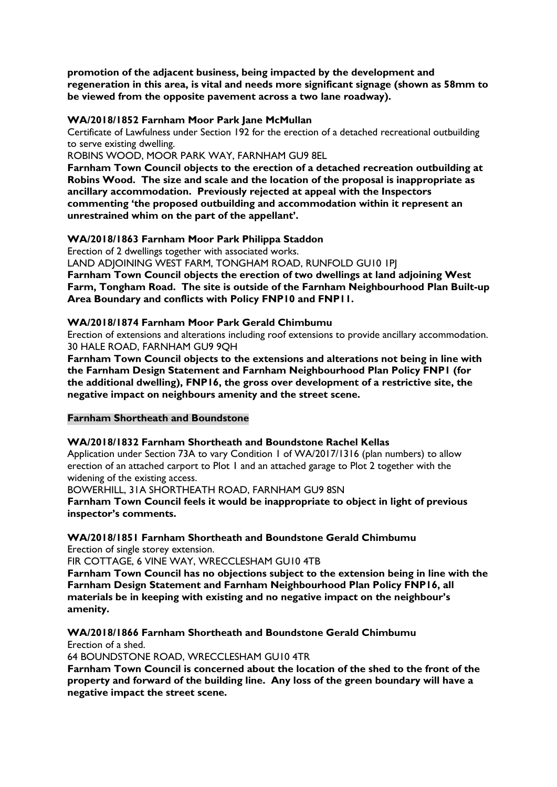**promotion of the adjacent business, being impacted by the development and regeneration in this area, is vital and needs more significant signage (shown as 58mm to be viewed from the opposite pavement across a two lane roadway).**

#### **WA/2018/1852 Farnham Moor Park Jane McMullan**

Certificate of Lawfulness under Section 192 for the erection of a detached recreational outbuilding to serve existing dwelling.

ROBINS WOOD, MOOR PARK WAY, FARNHAM GU9 8EL

**Farnham Town Council objects to the erection of a detached recreation outbuilding at Robins Wood. The size and scale and the location of the proposal is inappropriate as ancillary accommodation. Previously rejected at appeal with the Inspectors commenting 'the proposed outbuilding and accommodation within it represent an unrestrained whim on the part of the appellant'.**

#### **WA/2018/1863 Farnham Moor Park Philippa Staddon**

Erection of 2 dwellings together with associated works.

LAND ADJOINING WEST FARM, TONGHAM ROAD, RUNFOLD GU10 1PJ **Farnham Town Council objects the erection of two dwellings at land adjoining West Farm, Tongham Road. The site is outside of the Farnham Neighbourhood Plan Built-up Area Boundary and conflicts with Policy FNP10 and FNP11.**

#### **WA/2018/1874 Farnham Moor Park Gerald Chimbumu**

Erection of extensions and alterations including roof extensions to provide ancillary accommodation. 30 HALE ROAD, FARNHAM GU9 9QH

**Farnham Town Council objects to the extensions and alterations not being in line with the Farnham Design Statement and Farnham Neighbourhood Plan Policy FNP1 (for the additional dwelling), FNP16, the gross over development of a restrictive site, the negative impact on neighbours amenity and the street scene.**

#### **Farnham Shortheath and Boundstone**

#### **WA/2018/1832 Farnham Shortheath and Boundstone Rachel Kellas**

Application under Section 73A to vary Condition 1 of WA/2017/1316 (plan numbers) to allow erection of an attached carport to Plot 1 and an attached garage to Plot 2 together with the widening of the existing access.

BOWERHILL, 31A SHORTHEATH ROAD, FARNHAM GU9 8SN

**Farnham Town Council feels it would be inappropriate to object in light of previous inspector's comments.**

#### **WA/2018/1851 Farnham Shortheath and Boundstone Gerald Chimbumu**

Erection of single storey extension.

FIR COTTAGE, 6 VINE WAY, WRECCLESHAM GU10 4TB

**Farnham Town Council has no objections subject to the extension being in line with the Farnham Design Statement and Farnham Neighbourhood Plan Policy FNP16, all materials be in keeping with existing and no negative impact on the neighbour's amenity.**

**WA/2018/1866 Farnham Shortheath and Boundstone Gerald Chimbumu** Erection of a shed.

64 BOUNDSTONE ROAD, WRECCLESHAM GU10 4TR

**Farnham Town Council is concerned about the location of the shed to the front of the property and forward of the building line. Any loss of the green boundary will have a negative impact the street scene.**